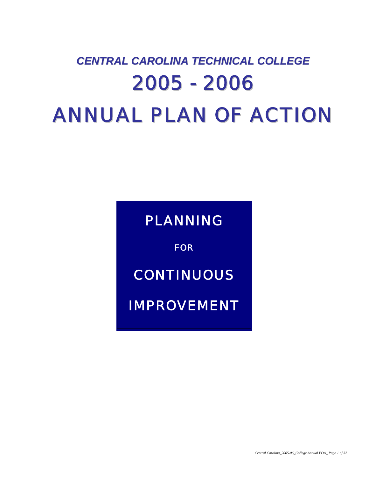# *CENTRAL CAROLINA TECHNICAL COLLEGE* 2005 - 2006 ANNUAL PLAN OF ACTION

*PLANNING* 

*FOR* 

*CONTINUOUS* 

*IMPROVEMENT*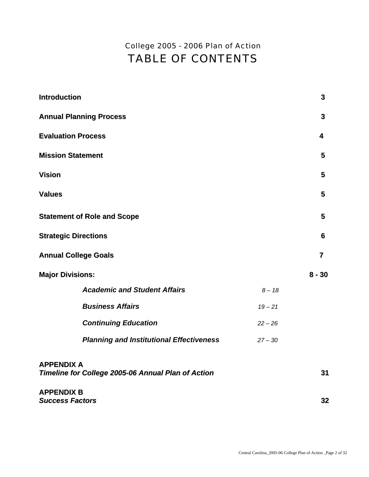# *College 2005 - 2006 Plan of Action*  TABLE OF CONTENTS

| <b>Introduction</b>                                                     |           | 3        |
|-------------------------------------------------------------------------|-----------|----------|
| <b>Annual Planning Process</b>                                          |           | 3        |
| <b>Evaluation Process</b>                                               |           | 4        |
| <b>Mission Statement</b>                                                |           | 5        |
| <b>Vision</b>                                                           |           | 5        |
| <b>Values</b>                                                           |           | 5        |
| <b>Statement of Role and Scope</b>                                      |           | 5        |
| <b>Strategic Directions</b>                                             |           | 6        |
| <b>Annual College Goals</b>                                             |           | 7        |
| <b>Major Divisions:</b>                                                 |           | $8 - 30$ |
| <b>Academic and Student Affairs</b>                                     | $8 - 18$  |          |
| <b>Business Affairs</b>                                                 | $19 - 21$ |          |
| <b>Continuing Education</b>                                             | $22 - 26$ |          |
| <b>Planning and Institutional Effectiveness</b>                         | $27 - 30$ |          |
| <b>APPENDIX A</b><br>Timeline for College 2005-06 Annual Plan of Action |           | 31       |
| <b>APPENDIX B</b><br><b>Success Factors</b>                             |           | 32       |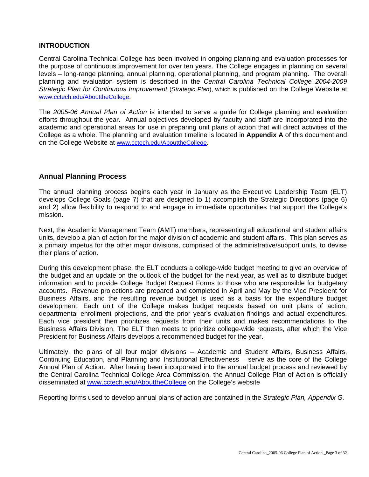#### **INTRODUCTION**

Central Carolina Technical College has been involved in ongoing planning and evaluation processes for the purpose of continuous improvement for over ten years. The College engages in planning on several levels – long-range planning, annual planning, operational planning, and program planning. The overall planning and evaluation system is described in the *Central Carolina Technical College 2004-2009 Strategic Plan for Continuous Improvement* (*Strategic Plan*), which is published on the College Website at [www.cctech.edu/AbouttheCollege](http://www.cctech.edu/AbouttheCollege).

The *2005-06 Annual Plan of Action* is intended to serve a guide for College planning and evaluation efforts throughout the year. Annual objectives developed by faculty and staff are incorporated into the academic and operational areas for use in preparing unit plans of action that will direct activities of the College as a whole. The planning and evaluation timeline is located in **Appendix A** of this document and on the College Website at [www.cctech.edu/AbouttheCollege](http://www.cctech.edu/AbouttheCollege).

#### **Annual Planning Process**

The annual planning process begins each year in January as the Executive Leadership Team (ELT) develops College Goals (page 7) that are designed to 1) accomplish the Strategic Directions (page 6) and 2) allow flexibility to respond to and engage in immediate opportunities that support the College's mission.

Next, the Academic Management Team (AMT) members, representing all educational and student affairs units, develop a plan of action for the major division of academic and student affairs. This plan serves as a primary impetus for the other major divisions, comprised of the administrative/support units, to devise their plans of action.

During this development phase, the ELT conducts a college-wide budget meeting to give an overview of the budget and an update on the outlook of the budget for the next year, as well as to distribute budget information and to provide College Budget Request Forms to those who are responsible for budgetary accounts. Revenue projections are prepared and completed in April and May by the Vice President for Business Affairs, and the resulting revenue budget is used as a basis for the expenditure budget development. Each unit of the College makes budget requests based on unit plans of action, departmental enrollment projections, and the prior year's evaluation findings and actual expenditures. Each vice president then prioritizes requests from their units and makes recommendations to the Business Affairs Division. The ELT then meets to prioritize college-wide requests, after which the Vice President for Business Affairs develops a recommended budget for the year.

Ultimately, the plans of all four major divisions – Academic and Student Affairs, Business Affairs, Continuing Education, and Planning and Institutional Effectiveness – serve as the core of the College Annual Plan of Action. After having been incorporated into the annual budget process and reviewed by the Central Carolina Technical College Area Commission, the Annual College Plan of Action is officially disseminated at [www.cctech.edu/AbouttheCollege](http://www.cctech.edu/AbouttheCollege) on the College's website

Reporting forms used to develop annual plans of action are contained in the *Strategic Plan, Appendix G.*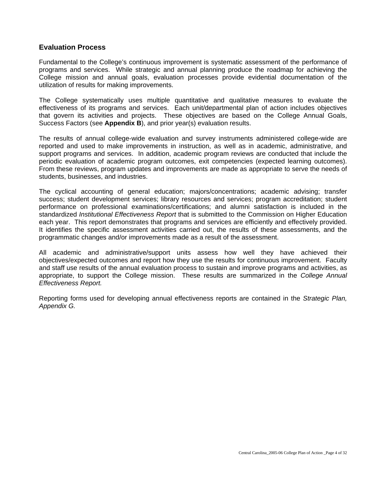#### **Evaluation Process**

Fundamental to the College's continuous improvement is systematic assessment of the performance of programs and services. While strategic and annual planning produce the roadmap for achieving the College mission and annual goals, evaluation processes provide evidential documentation of the utilization of results for making improvements.

The College systematically uses multiple quantitative and qualitative measures to evaluate the effectiveness of its programs and services. Each unit/departmental plan of action includes objectives that govern its activities and projects. These objectives are based on the College Annual Goals, Success Factors (see **Appendix B**), and prior year(s) evaluation results.

The results of annual college-wide evaluation and survey instruments administered college-wide are reported and used to make improvements in instruction, as well as in academic, administrative, and support programs and services. In addition, academic program reviews are conducted that include the periodic evaluation of academic program outcomes, exit competencies (expected learning outcomes). From these reviews, program updates and improvements are made as appropriate to serve the needs of students, businesses, and industries.

The cyclical accounting of general education; majors/concentrations; academic advising; transfer success; student development services; library resources and services; program accreditation; student performance on professional examinations/certifications; and alumni satisfaction is included in the standardized *Institutional Effectiveness Report* that is submitted to the Commission on Higher Education each year. This report demonstrates that programs and services are efficiently and effectively provided. It identifies the specific assessment activities carried out, the results of these assessments, and the programmatic changes and/or improvements made as a result of the assessment.

All academic and administrative/support units assess how well they have achieved their objectives/expected outcomes and report how they use the results for continuous improvement. Faculty and staff use results of the annual evaluation process to sustain and improve programs and activities, as appropriate, to support the College mission. These results are summarized in the *College Annual Effectiveness Report.*

Reporting forms used for developing annual effectiveness reports are contained in the *Strategic Plan, Appendix G.*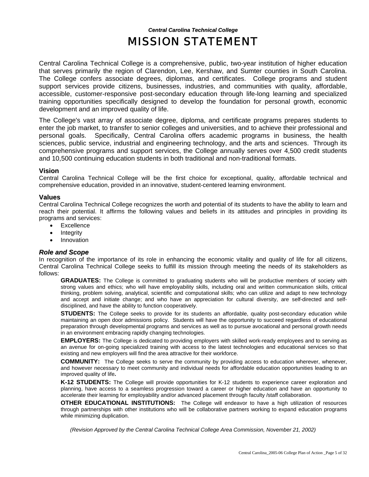## *Central Carolina Technical College* MISSION STATEMENT

Central Carolina Technical College is a comprehensive, public, two-year institution of higher education that serves primarily the region of Clarendon, Lee, Kershaw, and Sumter counties in South Carolina. The College confers associate degrees, diplomas, and certificates. College programs and student support services provide citizens, businesses, industries, and communities with quality, affordable, accessible, customer-responsive post-secondary education through life-long learning and specialized training opportunities specifically designed to develop the foundation for personal growth, economic development and an improved quality of life.

The College's vast array of associate degree, diploma, and certificate programs prepares students to enter the job market, to transfer to senior colleges and universities, and to achieve their professional and personal goals. Specifically, Central Carolina offers academic programs in business, the health sciences, public service, industrial and engineering technology, and the arts and sciences. Through its comprehensive programs and support services, the College annually serves over 4,500 credit students and 10,500 continuing education students in both traditional and non-traditional formats.

#### **Vision**

Central Carolina Technical College will be the first choice for exceptional, quality, affordable technical and comprehensive education, provided in an innovative, student-centered learning environment.

#### **Values**

Central Carolina Technical College recognizes the worth and potential of its students to have the ability to learn and reach their potential. It affirms the following values and beliefs in its attitudes and principles in providing its programs and services:

- Excellence
- Integrity
- Innovation

#### *Role and Scope*

In recognition of the importance of its role in enhancing the economic vitality and quality of life for all citizens, Central Carolina Technical College seeks to fulfill its mission through meeting the needs of its stakeholders as follows:

**GRADUATES:** The College is committed to graduating students who will be productive members of society with strong values and ethics; who will have employability skills, including oral and written communication skills, critical thinking, problem solving, analytical, scientific and computational skills; who can utilize and adapt to new technology and accept and initiate change; and who have an appreciation for cultural diversity, are self-directed and selfdisciplined, and have the ability to function cooperatively.

**STUDENTS:** The College seeks to provide for its students an affordable, quality post-secondary education while maintaining an open door admissions policy. Students will have the opportunity to succeed regardless of educational preparation through developmental programs and services as well as to pursue avocational and personal growth needs in an environment embracing rapidly changing technologies.

**EMPLOYERS:** The College is dedicated to providing employers with skilled work-ready employees and to serving as an avenue for on-going specialized training with access to the latest technologies and educational services so that existing and new employers will find the area attractive for their workforce.

**COMMUNITY:** The College seeks to serve the community by providing access to education wherever, whenever, and however necessary to meet community and individual needs for affordable education opportunities leading to an improved quality of life**.** 

**K-12 STUDENTS:** The College will provide opportunities for K-12 students to experience career exploration and planning, have access to a seamless progression toward a career or higher education and have an opportunity to accelerate their learning for employability and/or advanced placement through faculty /staff collaboration.

**OTHER EDUCATIONAL INSTITUTIONS:** The College will endeavor to have a high utilization of resources through partnerships with other institutions who will be collaborative partners working to expand education programs while minimizing duplication.

*(Revision Approved by the Central Carolina Technical College Area Commission, November 21, 2002)*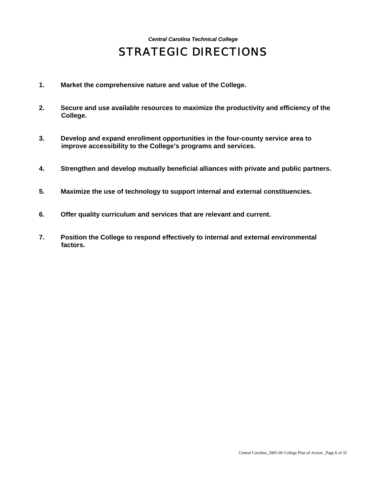# *Central Carolina Technical College* STRATEGIC DIRECTIONS

- **1. Market the comprehensive nature and value of the College.**
- **2. Secure and use available resources to maximize the productivity and efficiency of the College.**
- **3. Develop and expand enrollment opportunities in the four-county service area to improve accessibility to the College's programs and services.**
- **4. Strengthen and develop mutually beneficial alliances with private and public partners.**
- **5. Maximize the use of technology to support internal and external constituencies.**
- **6. Offer quality curriculum and services that are relevant and current.**
- **7. Position the College to respond effectively to internal and external environmental factors.**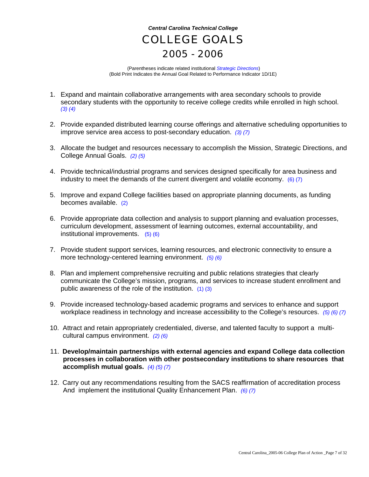# *Central Carolina Technical College*  COLLEGE GOALS 2005 - 2006

 (Parentheses indicate related institutional *Strategic Directions*) (Bold Print Indicates the Annual Goal Related to Performance Indicator 1D/1E)

- 1. Expand and maintain collaborative arrangements with area secondary schools to provide secondary students with the opportunity to receive college credits while enrolled in high school. *(3) (4)*
- 2. Provide expanded distributed learning course offerings and alternative scheduling opportunities to improve service area access to post-secondary education. *(3) (7)*
- 3. Allocate the budget and resources necessary to accomplish the Mission, Strategic Directions, and College Annual Goals. *(2) (5)*
- 4. Provide technical/industrial programs and services designed specifically for area business and industry to meet the demands of the current divergent and volatile economy. (6) (7)
- 5. Improve and expand College facilities based on appropriate planning documents, as funding becomes available. (2)
- 6. Provide appropriate data collection and analysis to support planning and evaluation processes, curriculum development, assessment of learning outcomes, external accountability, and institutional improvements. (5) (6)
- 7. Provide student support services, learning resources, and electronic connectivity to ensure a more technology-centered learning environment. *(5) (6)*
- 8. Plan and implement comprehensive recruiting and public relations strategies that clearly communicate the College's mission, programs, and services to increase student enrollment and public awareness of the role of the institution. (1) (3)
- 9. Provide increased technology-based academic programs and services to enhance and support workplace readiness in technology and increase accessibility to the College's resources. *(5) (6) (7)*
- 10. Attract and retain appropriately credentialed, diverse, and talented faculty to support a multi cultural campus environment. *(2) (6)*
- 11. **Develop/maintain partnerships with external agencies and expand College data collection processes in collaboration with other postsecondary institutions to share resources that accomplish mutual goals.** *(4) (5) (7)*
- 12. Carry out any recommendations resulting from the SACS reaffirmation of accreditation process And implement the institutional Quality Enhancement Plan. *(6) (7)*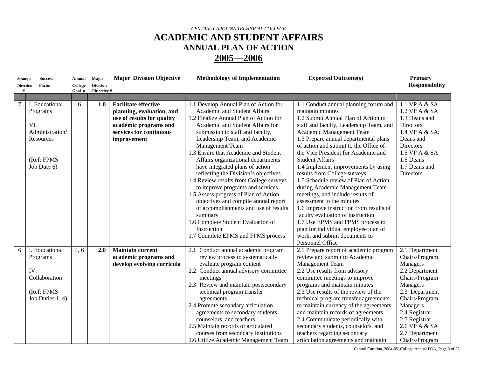| <b>Strategic</b><br><b>Direction</b><br># | <b>Success</b><br>Factor                                                             | Annual<br>College<br>Goal # | Major<br><b>Division</b><br>Objective # | <b>Major Division Objective</b>                                                                                                            | <b>Methodology of Implementation</b>                                                                                                                                                                                                                                                                                                                                                                                                                                                                                     | <b>Expected Outcome(s)</b>                                                                                                                                                                                                                                                                                                                                                                                                                                                                                                                                                           | <b>Primary</b><br><b>Responsibility</b>                                                                                                                                                                                             |
|-------------------------------------------|--------------------------------------------------------------------------------------|-----------------------------|-----------------------------------------|--------------------------------------------------------------------------------------------------------------------------------------------|--------------------------------------------------------------------------------------------------------------------------------------------------------------------------------------------------------------------------------------------------------------------------------------------------------------------------------------------------------------------------------------------------------------------------------------------------------------------------------------------------------------------------|--------------------------------------------------------------------------------------------------------------------------------------------------------------------------------------------------------------------------------------------------------------------------------------------------------------------------------------------------------------------------------------------------------------------------------------------------------------------------------------------------------------------------------------------------------------------------------------|-------------------------------------------------------------------------------------------------------------------------------------------------------------------------------------------------------------------------------------|
|                                           | I. Educational<br>Programs<br>VI.<br>Administration/                                 | 6                           | 1.0                                     | <b>Facilitate effective</b><br>planning, evaluation, and<br>use of results for quality<br>academic programs and<br>services for continuous | 1.1 Develop Annual Plan of Action for<br>Academic and Student Affairs<br>1.2 Finalize Annual Plan of Action for<br>Academic and Student Affairs for<br>submission to staff and faculty,                                                                                                                                                                                                                                                                                                                                  | 1.1 Conduct annual planning forum and<br>maintain minutes<br>1.2 Submit Annual Plan of Action to<br>staff and faculty, Leadership Team, and<br>Academic Management Team                                                                                                                                                                                                                                                                                                                                                                                                              | 1.1 VP A & SA<br>1.2 VP A & SA<br>1.3 Deans and<br><b>Directors</b><br>1.4 VP A & SA;                                                                                                                                               |
|                                           | Resources<br>(Ref: FPMS<br>Job Duty 6)                                               |                             |                                         | improvement                                                                                                                                | Leadership Team, and Academic<br>Management Team<br>1.3 Ensure that Academic and Student<br>Affairs organizational departments<br>have integrated plans of action<br>reflecting the Division's objectives<br>1.4 Review results from College surveys<br>to improve programs and services<br>1.5 Assess progress of Plan of Action<br>objectives and compile annual report<br>of accomplishments and use of results<br>summary<br>1.6 Complete Student Evaluation of<br>Instruction<br>1.7 Complete EPMS and FPMS process | 1.3 Prepare annual departmental plans<br>of action and submit to the Office of<br>the Vice President for Academic and<br><b>Student Affairs</b><br>1.4 Implement improvements by using<br>results from College surveys<br>1.5 Schedule review of Plan of Action<br>during Academic Management Team<br>meetings, and include results of<br>assessment in the minutes<br>1.6 Improve instruction from results of<br>faculty evaluation of instruction<br>1.7 Use EPMS and FPMS process to<br>plan for individual employee plan of<br>work, and submit documents to<br>Personnel Office | Deans and<br><b>Directors</b><br>1.5 VP A & SA<br>1.6 Deans<br>1.7 Deans and<br>Directors                                                                                                                                           |
| 6                                         | I. Educational<br>Programs<br>IV.<br>Collaboration<br>(Ref: FPMS<br>Job Duties 1, 4) | 4, 6                        | 2.0                                     | <b>Maintain current</b><br>academic programs and<br>develop evolving curricula                                                             | 2.1 Conduct annual academic program<br>review process to systematically<br>evaluate program content<br>2.2 Conduct annual advisory committee<br>meetings<br>2.3 Review and maintain postsecondary<br>technical program transfer<br>agreements<br>2.4 Promote secondary articulation<br>agreements to secondary students,<br>counselors, and teachers<br>2.5 Maintain records of articulated<br>courses from secondary institutions<br>2.6 Utilize Academic Management Team                                               | 2.1 Prepare report of academic program<br>review and submit to Academic<br>Management Team<br>2.2 Use results from advisory<br>committee meetings to improve<br>programs and maintain minutes<br>2.3 Use results of the review of the<br>technical program transfer agreements<br>to maintain currency of the agreements<br>and maintain records of agreements<br>2.4 Communicate periodically with<br>secondary students, counselors, and<br>teachers regarding secondary<br>articulation agreements and maintain                                                                   | 2.1 Department<br>Chairs/Program<br>Managers<br>2.2 Department<br>Chairs/Program<br>Managers<br>2.3 Department<br>Chairs/Program<br>Managers<br>2.4 Registrar<br>2.5 Registrar<br>2.6 VP A & SA<br>2.7 Department<br>Chairs/Program |

Central Carolina\_2004-05\_College Annual POA\_Page 8 of 32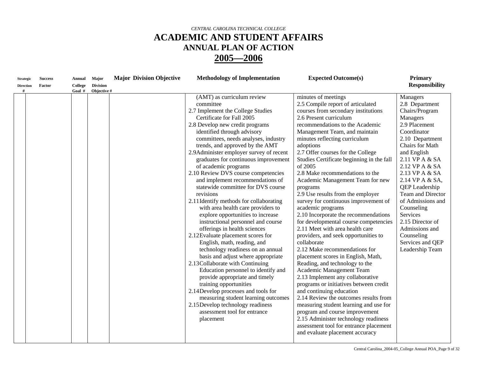| (AMT) as curriculum review<br>minutes of meetings<br>Managers<br>2.5 Compile report of articulated<br>committee<br>courses from secondary institutions<br>2.7 Implement the College Studies<br>Certificate for Fall 2005<br>2.6 Present curriculum<br>Managers<br>2.8 Develop new credit programs<br>recommendations to the Academic<br>identified through advisory<br>Management Team, and maintain<br>Coordinator<br>committees, needs analyses, industry<br>minutes reflecting curriculum<br>trends, and approved by the AMT<br>adoptions<br>2.7 Offer courses for the College<br>2.9Administer employer survey of recent<br>and English<br>graduates for continuous improvement<br>Studies Certificate beginning in the fall<br>of 2005<br>of academic programs<br>2.10 Review DVS course competencies<br>2.8 Make recommendations to the<br>and implement recommendations of<br>Academic Management Team for new<br>statewide committee for DVS course<br>programs<br>revisions<br>2.9 Use results from the employer<br>survey for continuous improvement of<br>2.11 Identify methods for collaborating<br>with area health care providers to<br>academic programs<br>Counseling<br>explore opportunities to increase<br>2.10 Incorporate the recommendations<br>Services<br>for developmental course competencies<br>instructional personnel and course<br>offerings in health sciences<br>2.11 Meet with area health care<br>2.12 Evaluate placement scores for<br>Counseling<br>providers, and seek opportunities to<br>English, math, reading, and<br>collaborate<br>2.12 Make recommendations for<br>technology readiness on an annual<br>basis and adjust where appropriate<br>placement scores in English, Math,<br>2.13 Collaborate with Continuing<br>Reading, and technology to the<br>Education personnel to identify and<br>Academic Management Team<br>2.13 Implement any collaborative<br>provide appropriate and timely<br>training opportunities<br>programs or initiatives between credit<br>2.14Develop processes and tools for<br>and continuing education<br>2.14 Review the outcomes results from<br>measuring student learning outcomes<br>2.15Develop technology readiness<br>measuring student learning and use for<br>assessment tool for entrance<br>program and course improvement | <b>Strategic</b><br><b>Direction</b> | <b>Success</b><br>Factor | Annual<br>College<br>Goal # | Major<br><b>Division</b><br>Objective # | <b>Major Division Objective</b> | <b>Methodology of Implementation</b> | <b>Expected Outcome(s)</b>           | Primary<br><b>Responsibility</b>                                                                                                                                                                                                                                                                          |
|--------------------------------------------------------------------------------------------------------------------------------------------------------------------------------------------------------------------------------------------------------------------------------------------------------------------------------------------------------------------------------------------------------------------------------------------------------------------------------------------------------------------------------------------------------------------------------------------------------------------------------------------------------------------------------------------------------------------------------------------------------------------------------------------------------------------------------------------------------------------------------------------------------------------------------------------------------------------------------------------------------------------------------------------------------------------------------------------------------------------------------------------------------------------------------------------------------------------------------------------------------------------------------------------------------------------------------------------------------------------------------------------------------------------------------------------------------------------------------------------------------------------------------------------------------------------------------------------------------------------------------------------------------------------------------------------------------------------------------------------------------------------------------------------------------------------------------------------------------------------------------------------------------------------------------------------------------------------------------------------------------------------------------------------------------------------------------------------------------------------------------------------------------------------------------------------------------------------------------------------------------------------------------------------------------------------|--------------------------------------|--------------------------|-----------------------------|-----------------------------------------|---------------------------------|--------------------------------------|--------------------------------------|-----------------------------------------------------------------------------------------------------------------------------------------------------------------------------------------------------------------------------------------------------------------------------------------------------------|
| assessment tool for entrance placement<br>and evaluate placement accuracy                                                                                                                                                                                                                                                                                                                                                                                                                                                                                                                                                                                                                                                                                                                                                                                                                                                                                                                                                                                                                                                                                                                                                                                                                                                                                                                                                                                                                                                                                                                                                                                                                                                                                                                                                                                                                                                                                                                                                                                                                                                                                                                                                                                                                                          |                                      |                          |                             |                                         |                                 | placement                            | 2.15 Administer technology readiness | 2.8 Department<br>Chairs/Program<br>2.9 Placement<br>2.10 Department<br>Chairs for Math<br>2.11 VP A & SA<br>2.12 VP A & SA<br>2.13 VP A & SA<br>2.14 VP A & SA,<br>QEP Leadership<br>Team and Director<br>of Admissions and<br>2.15 Director of<br>Admissions and<br>Services and QEP<br>Leadership Team |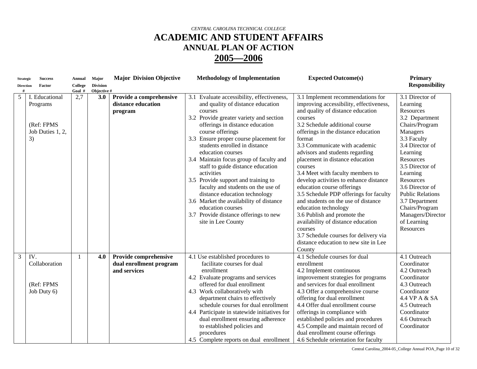| <b>Strategic</b>      | <b>Success</b>                                                     | <b>Annual</b>     | Major                          | <b>Major Division Objective</b>                                  | <b>Methodology of Implementation</b>                                                                                                                                                                                                                                                                                                                                                                                                                                                                                                                                                                                                    | <b>Expected Outcome(s)</b>                                                                                                                                                                                                                                                                                                                                                                                                                                                                                                                                                                                                                                                                                                         | <b>Primary</b>                                                                                                                                                                                                                                                                                                                            |
|-----------------------|--------------------------------------------------------------------|-------------------|--------------------------------|------------------------------------------------------------------|-----------------------------------------------------------------------------------------------------------------------------------------------------------------------------------------------------------------------------------------------------------------------------------------------------------------------------------------------------------------------------------------------------------------------------------------------------------------------------------------------------------------------------------------------------------------------------------------------------------------------------------------|------------------------------------------------------------------------------------------------------------------------------------------------------------------------------------------------------------------------------------------------------------------------------------------------------------------------------------------------------------------------------------------------------------------------------------------------------------------------------------------------------------------------------------------------------------------------------------------------------------------------------------------------------------------------------------------------------------------------------------|-------------------------------------------------------------------------------------------------------------------------------------------------------------------------------------------------------------------------------------------------------------------------------------------------------------------------------------------|
| <b>Direction</b><br># | Factor                                                             | College<br>Goal # | <b>Division</b><br>Objective # |                                                                  |                                                                                                                                                                                                                                                                                                                                                                                                                                                                                                                                                                                                                                         |                                                                                                                                                                                                                                                                                                                                                                                                                                                                                                                                                                                                                                                                                                                                    | <b>Responsibility</b>                                                                                                                                                                                                                                                                                                                     |
| 5                     | I. Educational<br>Programs<br>(Ref: FPMS<br>Job Duties 1, 2,<br>3) | 2,7               | 3.0                            | Provide a comprehensive<br>distance education<br>program         | 3.1 Evaluate accessibility, effectiveness,<br>and quality of distance education<br>courses<br>3.2 Provide greater variety and section<br>offerings in distance education<br>course offerings<br>3.3 Ensure proper course placement for<br>students enrolled in distance<br>education courses<br>3.4 Maintain focus group of faculty and<br>staff to guide distance education<br>activities<br>3.5 Provide support and training to<br>faculty and students on the use of<br>distance education technology<br>3.6 Market the availability of distance<br>education courses<br>3.7 Provide distance offerings to new<br>site in Lee County | 3.1 Implement recommendations for<br>improving accessibility, effectiveness,<br>and quality of distance education<br>courses<br>3.2 Schedule additional course<br>offerings in the distance education<br>format<br>3.3 Communicate with academic<br>advisors and students regarding<br>placement in distance education<br>courses<br>3.4 Meet with faculty members to<br>develop activities to enhance distance<br>education course offerings<br>3.5 Schedule PDP offerings for faculty<br>and students on the use of distance<br>education technology<br>3.6 Publish and promote the<br>availability of distance education<br>courses<br>3.7 Schedule courses for delivery via<br>distance education to new site in Lee<br>County | 3.1 Director of<br>Learning<br><b>Resources</b><br>3.2 Department<br>Chairs/Program<br>Managers<br>3.3 Faculty<br>3.4 Director of<br>Learning<br>Resources<br>3.5 Director of<br>Learning<br>Resources<br>3.6 Director of<br><b>Public Relations</b><br>3.7 Department<br>Chairs/Program<br>Managers/Director<br>of Learning<br>Resources |
| 3                     | IV.<br>Collaboration<br>(Ref: FPMS<br>Job Duty 6)                  |                   | 4.0                            | Provide comprehensive<br>dual enrollment program<br>and services | 4.1 Use established procedures to<br>facilitate courses for dual<br>enrollment<br>4.2 Evaluate programs and services<br>offered for dual enrollment<br>4.3 Work collaboratively with<br>department chairs to effectively<br>schedule courses for dual enrollment<br>4.4 Participate in statewide initiatives for<br>dual enrollment ensuring adherence<br>to established policies and<br>procedures<br>4.5 Complete reports on dual enrollment                                                                                                                                                                                          | 4.1 Schedule courses for dual<br>enrollment<br>4.2 Implement continuous<br>improvement strategies for programs<br>and services for dual enrollment<br>4.3 Offer a comprehensive course<br>offering for dual enrollment<br>4.4 Offer dual enrollment course<br>offerings in compliance with<br>established policies and procedures<br>4.5 Compile and maintain record of<br>dual enrollment course offerings<br>4.6 Schedule orientation for faculty                                                                                                                                                                                                                                                                                | $\overline{4.1}$ Outreach<br>Coordinator<br>4.2 Outreach<br>Coordinator<br>4.3 Outreach<br>Coordinator<br>4.4 VP A & SA<br>4.5 Outreach<br>Coordinator<br>4.6 Outreach<br>Coordinator                                                                                                                                                     |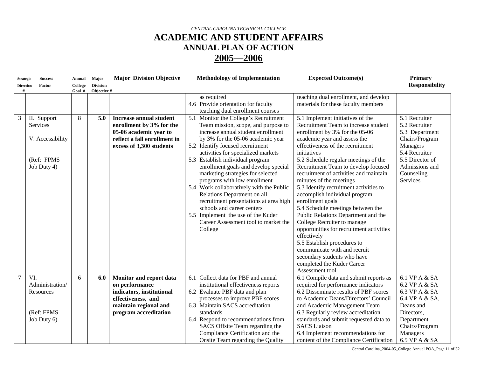| <b>Strategic</b> | <b>Success</b>                                                           | <b>Annual</b>     | Major                          | <b>Major Division Objective</b>                                                                                                                  | <b>Methodology of Implementation</b>                                                                                                                                                                                                                                                                                                                                                                                                                                                                                                                                                                                           | <b>Expected Outcome(s)</b>                                                                                                                                                                                                                                                                                                                                                                                                                                                                                                                                                                                                                                                                                                                                            | <b>Primary</b>                                                                                                                                                 |
|------------------|--------------------------------------------------------------------------|-------------------|--------------------------------|--------------------------------------------------------------------------------------------------------------------------------------------------|--------------------------------------------------------------------------------------------------------------------------------------------------------------------------------------------------------------------------------------------------------------------------------------------------------------------------------------------------------------------------------------------------------------------------------------------------------------------------------------------------------------------------------------------------------------------------------------------------------------------------------|-----------------------------------------------------------------------------------------------------------------------------------------------------------------------------------------------------------------------------------------------------------------------------------------------------------------------------------------------------------------------------------------------------------------------------------------------------------------------------------------------------------------------------------------------------------------------------------------------------------------------------------------------------------------------------------------------------------------------------------------------------------------------|----------------------------------------------------------------------------------------------------------------------------------------------------------------|
| <b>Direction</b> | Factor                                                                   | College<br>Goal # | <b>Division</b><br>Objective # |                                                                                                                                                  |                                                                                                                                                                                                                                                                                                                                                                                                                                                                                                                                                                                                                                |                                                                                                                                                                                                                                                                                                                                                                                                                                                                                                                                                                                                                                                                                                                                                                       | <b>Responsibility</b>                                                                                                                                          |
|                  |                                                                          |                   |                                |                                                                                                                                                  | as required<br>4.6 Provide orientation for faculty<br>teaching dual enrollment courses                                                                                                                                                                                                                                                                                                                                                                                                                                                                                                                                         | teaching dual enrollment, and develop<br>materials for these faculty members                                                                                                                                                                                                                                                                                                                                                                                                                                                                                                                                                                                                                                                                                          |                                                                                                                                                                |
| 3                | II. Support<br>Services<br>V. Accessibility<br>(Ref: FPMS<br>Job Duty 4) | 8                 | 5.0                            | <b>Increase annual student</b><br>enrollment by 3% for the<br>05-06 academic year to<br>reflect a fall enrollment in<br>excess of 3,300 students | 5.1 Monitor the College's Recruitment<br>Team mission, scope, and purpose to<br>increase annual student enrollment<br>by 3% for the 05-06 academic year<br>5.2 Identify focused recruitment<br>activities for specialized markets<br>5.3 Establish individual program<br>enrollment goals and develop special<br>marketing strategies for selected<br>programs with low enrollment<br>5.4 Work collaboratively with the Public<br>Relations Department on all<br>recruitment presentations at area high<br>schools and career centers<br>5.5 Implement the use of the Kuder<br>Career Assessment tool to market the<br>College | 5.1 Implement initiatives of the<br>Recruitment Team to increase student<br>enrollment by 3% for the 05-06<br>academic year and assess the<br>effectiveness of the recruitment<br>initiatives<br>5.2 Schedule regular meetings of the<br>Recruitment Team to develop focused<br>recruitment of activities and maintain<br>minutes of the meetings<br>5.3 Identify recruitment activities to<br>accomplish individual program<br>enrollment goals<br>5.4 Schedule meetings between the<br>Public Relations Department and the<br>College Recruiter to manage<br>opportunities for recruitment activities<br>effectively<br>5.5 Establish procedures to<br>communicate with and recruit<br>secondary students who have<br>completed the Kuder Career<br>Assessment tool | 5.1 Recruiter<br>5.2 Recruiter<br>5.3 Department<br>Chairs/Program<br>Managers<br>5.4 Recruiter<br>5.5 Director of<br>Admissions and<br>Counseling<br>Services |
| $\tau$           | VI.<br>Administration/<br>Resources<br>(Ref: FPMS<br>Job Duty 6)         | 6                 | 6.0                            | Monitor and report data<br>on performance<br>indicators, institutional<br>effectiveness, and<br>maintain regional and<br>program accreditation   | 6.1 Collect data for PBF and annual<br>institutional effectiveness reports<br>6.2 Evaluate PBF data and plan<br>processes to improve PBF scores<br>6.3 Maintain SACS accreditation<br>standards<br>6.4 Respond to recommendations from<br>SACS Offsite Team regarding the<br>Compliance Certification and the<br>Onsite Team regarding the Quality                                                                                                                                                                                                                                                                             | 6.1 Compile data and submit reports as<br>required for performance indicators<br>6.2 Disseminate results of PBF scores<br>to Academic Deans/Directors' Council<br>and Academic Management Team<br>6.3 Regularly review accreditation<br>standards and submit requested data to<br><b>SACS</b> Liaison<br>6.4 Implement recommendations for<br>content of the Compliance Certification                                                                                                                                                                                                                                                                                                                                                                                 | 6.1 VP A & SA<br>6.2 VP A & SA<br>6.3 VP A & SA<br>6.4 VP A & SA,<br>Deans and<br>Directors,<br>Department<br>Chairs/Program<br>Managers<br>6.5 VP A & SA      |

Central Carolina\_2004-05\_College Annual POA\_Page 11 of 32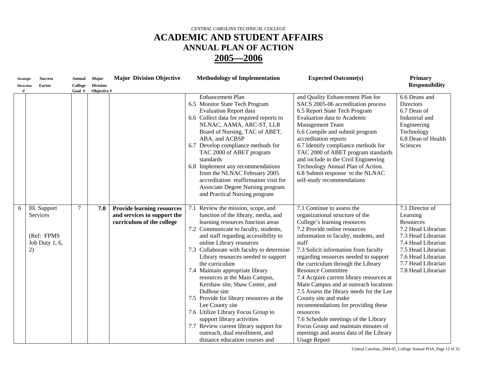| <b>Strategic</b><br><b>Direction</b> | <b>Success</b><br>Factor                                              | Annual<br>College | <b>Major</b><br><b>Division</b> | <b>Major Division Objective</b>                                                               | <b>Methodology of Implementation</b>                                                                                                                                                                                                                                                                                                                                                                                                                                                                                                                                                                                                                                                                     | <b>Expected Outcome(s)</b>                                                                                                                                                                                                                                                                                                                                                                                                                                                                                                                                                                                                                                                                        | <b>Primary</b><br><b>Responsibility</b>                                                                                                                                                            |
|--------------------------------------|-----------------------------------------------------------------------|-------------------|---------------------------------|-----------------------------------------------------------------------------------------------|----------------------------------------------------------------------------------------------------------------------------------------------------------------------------------------------------------------------------------------------------------------------------------------------------------------------------------------------------------------------------------------------------------------------------------------------------------------------------------------------------------------------------------------------------------------------------------------------------------------------------------------------------------------------------------------------------------|---------------------------------------------------------------------------------------------------------------------------------------------------------------------------------------------------------------------------------------------------------------------------------------------------------------------------------------------------------------------------------------------------------------------------------------------------------------------------------------------------------------------------------------------------------------------------------------------------------------------------------------------------------------------------------------------------|----------------------------------------------------------------------------------------------------------------------------------------------------------------------------------------------------|
|                                      |                                                                       | Goal #            | Objective #                     |                                                                                               | <b>Enhancement Plan</b><br>6.5 Monitor State Tech Program<br><b>Evaluation Report data</b><br>6.6 Collect data for required reports to<br>NLNAC, AAMA, ARC-ST, LLR<br>Board of Nursing, TAC of ABET,<br>ABA, and ACBSP<br>6.7 Develop compliance methods for<br>TAC 2000 of ABET program<br>standards<br>6.8 Implement any recommendations<br>from the NLNAC February 2005<br>accreditation reaffirmation visit for<br>Associate Degree Nursing program<br>and Practical Nursing program                                                                                                                                                                                                                 | and Quality Enhancement Plan for<br>SACS 2005-06 accreditation process<br>6.5 Report State Tech Program<br>Evaluation data to Academic<br>Management Team<br>6.6 Compile and submit program<br>accreditation reports<br>6.7 Identify compliance methods for<br>TAC 2000 of ABET program standards<br>and include in the Civil Engineering<br>Technology Annual Plan of Action.<br>6.8 Submit response to the NLNAC<br>self-study recommendations                                                                                                                                                                                                                                                  | 6.6 Deans and<br><b>Directors</b><br>6.7 Dean of<br>Industrial and<br>Engineering<br>Technology<br>6.8 Dean of Health<br>Sciences                                                                  |
| 6                                    | III. Support<br><b>Services</b><br>(Ref: FPMS<br>Job Duty 1, 6,<br>2) | $\tau$            | 7.0                             | <b>Provide learning resources</b><br>and services to support the<br>curriculum of the college | 7.1 Review the mission, scope, and<br>function of the library, media, and<br>learning resources function areas<br>7.2 Communicate to faculty, students,<br>and staff regarding accessibility to<br>online Library resources<br>7.3 Collaborate with faculty to determine<br>Library resources needed to support<br>the curriculum<br>7.4 Maintain appropriate library<br>resources at the Main Campus,<br>Kershaw site, Shaw Center, and<br>DuBose site<br>7.5 Provide for library resources at the<br>Lee County site<br>7.6 Utilize Library Focus Group to<br>support library activities<br>7.7 Review current library support for<br>outreach, dual enrollment, and<br>distance education courses and | 7.1 Continue to assess the<br>organizational structure of the<br>College's learning resources<br>7.2 Provide online resources<br>information to faculty, students, and<br>staff<br>7.3 Solicit information from faculty<br>regarding resources needed to support<br>the curriculum through the Library<br><b>Resource Committee</b><br>7.4 Acquire current library resources at<br>Main Campus and at outreach locations<br>7.5 Assess the library needs for the Lee<br>County site and make<br>recommendations for providing these<br>resources<br>7.6 Schedule meetings of the Library<br>Focus Group and maintain minutes of<br>meetings and assess data of the Library<br><b>Usage Report</b> | 7.1 Director of<br>Learning<br>Resources<br>7.2 Head Librarian<br>7.3 Head Librarian<br>7.4 Head Librarian<br>7.5 Head Librarian<br>7.6 Head Librarian<br>7.7 Head Librarian<br>7.8 Head Librarian |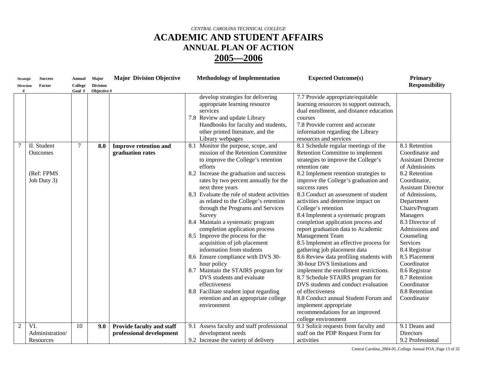| <b>Strategic</b>    | <b>Success</b>                                              | <b>Annual</b>            | Major              | <b>Major Division Objective</b>                  | <b>Methodology of Implementation</b>                                                                                                                                                                                                                                                                                                                                                                                                                                                                                                                                                                                                                                                                                                                                                                                                                                                                                                                    | <b>Expected Outcome(s)</b>                                                                                                                                                                                                                                                                                                                                                                                                                                                                                                                                                                                                                                                                                                                                                                                                                                                                                                                                                                                                | <b>Primary</b>                                                                                                                                                                                                                                                                                                                                                                                            |
|---------------------|-------------------------------------------------------------|--------------------------|--------------------|--------------------------------------------------|---------------------------------------------------------------------------------------------------------------------------------------------------------------------------------------------------------------------------------------------------------------------------------------------------------------------------------------------------------------------------------------------------------------------------------------------------------------------------------------------------------------------------------------------------------------------------------------------------------------------------------------------------------------------------------------------------------------------------------------------------------------------------------------------------------------------------------------------------------------------------------------------------------------------------------------------------------|---------------------------------------------------------------------------------------------------------------------------------------------------------------------------------------------------------------------------------------------------------------------------------------------------------------------------------------------------------------------------------------------------------------------------------------------------------------------------------------------------------------------------------------------------------------------------------------------------------------------------------------------------------------------------------------------------------------------------------------------------------------------------------------------------------------------------------------------------------------------------------------------------------------------------------------------------------------------------------------------------------------------------|-----------------------------------------------------------------------------------------------------------------------------------------------------------------------------------------------------------------------------------------------------------------------------------------------------------------------------------------------------------------------------------------------------------|
| <b>Direction</b>    | Factor                                                      | College                  | <b>Division</b>    |                                                  |                                                                                                                                                                                                                                                                                                                                                                                                                                                                                                                                                                                                                                                                                                                                                                                                                                                                                                                                                         |                                                                                                                                                                                                                                                                                                                                                                                                                                                                                                                                                                                                                                                                                                                                                                                                                                                                                                                                                                                                                           | <b>Responsibility</b>                                                                                                                                                                                                                                                                                                                                                                                     |
| #<br>$\overline{7}$ | II. Student<br><b>Outcomes</b><br>(Ref: FPMS<br>Job Duty 3) | Goal #<br>$\overline{7}$ | Objective #<br>8.0 | <b>Improve retention and</b><br>graduation rates | develop strategies for delivering<br>appropriate learning resource<br>services<br>7.8 Review and update Library<br>Handbooks for faculty and students,<br>other printed literature, and the<br>Library webpages<br>8.1 Monitor the purpose, scope, and<br>mission of the Retention Committee<br>to improve the College's retention<br>efforts<br>8.2 Increase the graduation and success<br>rates by two percent annually for the<br>next three years<br>8.3 Evaluate the role of student activities<br>as related to the College's retention<br>through the Programs and Services<br>Survey<br>8.4 Maintain a systematic program<br>completion application process<br>8.5 Improve the process for the<br>acquisition of job placement<br>information from students<br>8.6 Ensure compliance with DVS 30-<br>hour policy<br>8.7 Maintain the STAIRS program for<br>DVS students and evaluate<br>effectiveness<br>8.8 Facilitate student input regarding | 7.7 Provide appropriate/equitable<br>learning resources to support outreach,<br>dual enrollment, and distance education<br>courses<br>7.8 Provide current and accurate<br>information regarding the Library<br>resources and services<br>8.1 Schedule regular meetings of the<br>Retention Committee to implement<br>strategies to improve the College's<br>retention rate<br>8.2 Implement retention strategies to<br>improve the College's graduation and<br>success rates<br>8.3 Conduct an assessment of student<br>activities and determine impact on<br>College's retention<br>8.4 Implement a systematic program<br>completion application process and<br>report graduation data to Academic<br><b>Management Team</b><br>8.5 Implement an effective process for<br>gathering job placement data<br>8.6 Review data profiling students with<br>30-hour DVS limitations and<br>implement the enrollment restrictions.<br>8.7 Schedule STAIRS program for<br>DVS students and conduct evaluation<br>of effectiveness | $\overline{8.1}$ Retention<br>Coordinator and<br><b>Assistant Director</b><br>of Admissions<br>8.2 Retention<br>Coordinator,<br><b>Assistant Director</b><br>of Admissions,<br>Department<br>Chairs/Program<br>Managers<br>8.3 Director of<br>Admissions and<br>Counseling<br>Services<br>8.4 Registrar<br>8.5 Placement<br>Coordinator<br>8.6 Registrar<br>8.7 Retention<br>Coordinator<br>8.8 Retention |
|                     |                                                             |                          |                    |                                                  | retention and an appropriate college                                                                                                                                                                                                                                                                                                                                                                                                                                                                                                                                                                                                                                                                                                                                                                                                                                                                                                                    | 8.8 Conduct annual Student Forum and                                                                                                                                                                                                                                                                                                                                                                                                                                                                                                                                                                                                                                                                                                                                                                                                                                                                                                                                                                                      | Coordinator                                                                                                                                                                                                                                                                                                                                                                                               |
|                     |                                                             |                          |                    |                                                  | environment                                                                                                                                                                                                                                                                                                                                                                                                                                                                                                                                                                                                                                                                                                                                                                                                                                                                                                                                             | implement appropriate                                                                                                                                                                                                                                                                                                                                                                                                                                                                                                                                                                                                                                                                                                                                                                                                                                                                                                                                                                                                     |                                                                                                                                                                                                                                                                                                                                                                                                           |
|                     |                                                             |                          |                    |                                                  |                                                                                                                                                                                                                                                                                                                                                                                                                                                                                                                                                                                                                                                                                                                                                                                                                                                                                                                                                         | recommendations for an improved<br>college environment                                                                                                                                                                                                                                                                                                                                                                                                                                                                                                                                                                                                                                                                                                                                                                                                                                                                                                                                                                    |                                                                                                                                                                                                                                                                                                                                                                                                           |
| 2                   | VI.                                                         | 10                       | 9.0                | Provide faculty and staff                        | 9.1 Assess faculty and staff professional                                                                                                                                                                                                                                                                                                                                                                                                                                                                                                                                                                                                                                                                                                                                                                                                                                                                                                               | 9.1 Solicit requests from faculty and                                                                                                                                                                                                                                                                                                                                                                                                                                                                                                                                                                                                                                                                                                                                                                                                                                                                                                                                                                                     | 9.1 Deans and                                                                                                                                                                                                                                                                                                                                                                                             |
|                     | Administration/                                             |                          |                    | professional development                         | development needs                                                                                                                                                                                                                                                                                                                                                                                                                                                                                                                                                                                                                                                                                                                                                                                                                                                                                                                                       | staff on the PDP Request Form for                                                                                                                                                                                                                                                                                                                                                                                                                                                                                                                                                                                                                                                                                                                                                                                                                                                                                                                                                                                         | Directors                                                                                                                                                                                                                                                                                                                                                                                                 |
|                     | Resources                                                   |                          |                    |                                                  | 9.2 Increase the variety of delivery                                                                                                                                                                                                                                                                                                                                                                                                                                                                                                                                                                                                                                                                                                                                                                                                                                                                                                                    | activities                                                                                                                                                                                                                                                                                                                                                                                                                                                                                                                                                                                                                                                                                                                                                                                                                                                                                                                                                                                                                | 9.2 Professional                                                                                                                                                                                                                                                                                                                                                                                          |
|                     |                                                             |                          |                    |                                                  |                                                                                                                                                                                                                                                                                                                                                                                                                                                                                                                                                                                                                                                                                                                                                                                                                                                                                                                                                         |                                                                                                                                                                                                                                                                                                                                                                                                                                                                                                                                                                                                                                                                                                                                                                                                                                                                                                                                                                                                                           |                                                                                                                                                                                                                                                                                                                                                                                                           |

Central Carolina\_2004-05\_College Annual POA\_Page 13 of 32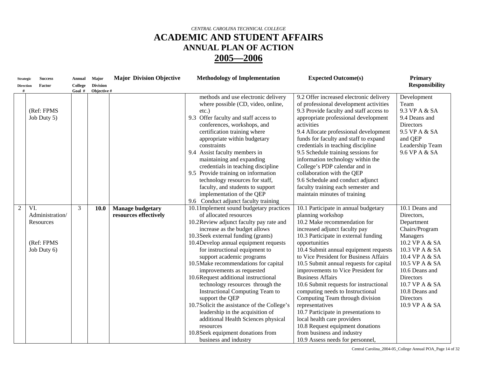| <b>Strategic</b><br><b>Direction</b><br># | <b>Success</b><br>Factor                                         | Annual<br>College<br>Goal # | Major<br><b>Division</b><br>Objective # | <b>Major Division Objective</b>                  | <b>Methodology of Implementation</b>                                                                                                                                                                                                                                                                                                                                                                                                                                                                                                                                                                                                                                                                                 | <b>Expected Outcome(s)</b>                                                                                                                                                                                                                                                                                                                                                                                                                                                                                                                                                                                                                                                                          | <b>Primary</b><br><b>Responsibility</b>                                                                                                                                                                                                                          |
|-------------------------------------------|------------------------------------------------------------------|-----------------------------|-----------------------------------------|--------------------------------------------------|----------------------------------------------------------------------------------------------------------------------------------------------------------------------------------------------------------------------------------------------------------------------------------------------------------------------------------------------------------------------------------------------------------------------------------------------------------------------------------------------------------------------------------------------------------------------------------------------------------------------------------------------------------------------------------------------------------------------|-----------------------------------------------------------------------------------------------------------------------------------------------------------------------------------------------------------------------------------------------------------------------------------------------------------------------------------------------------------------------------------------------------------------------------------------------------------------------------------------------------------------------------------------------------------------------------------------------------------------------------------------------------------------------------------------------------|------------------------------------------------------------------------------------------------------------------------------------------------------------------------------------------------------------------------------------------------------------------|
|                                           | (Ref: FPMS<br>Job Duty 5)                                        |                             |                                         |                                                  | methods and use electronic delivery<br>where possible (CD, video, online,<br>$etc.$ )<br>9.3 Offer faculty and staff access to<br>conferences, workshops, and<br>certification training where<br>appropriate within budgetary<br>constraints<br>9.4 Assist faculty members in<br>maintaining and expanding<br>credentials in teaching discipline<br>9.5 Provide training on information<br>technology resources for staff,<br>faculty, and students to support<br>implementation of the QEP<br>9.6 Conduct adjunct faculty training                                                                                                                                                                                  | 9.2 Offer increased electronic delivery<br>of professional development activities<br>9.3 Provide faculty and staff access to<br>appropriate professional development<br>activities<br>9.4 Allocate professional development<br>funds for faculty and staff to expand<br>credentials in teaching discipline<br>9.5 Schedule training sessions for<br>information technology within the<br>College's PDP calendar and in<br>collaboration with the QEP<br>9.6 Schedule and conduct adjunct<br>faculty training each semester and<br>maintain minutes of training                                                                                                                                      | Development<br>Team<br>9.3 VP A & SA<br>9.4 Deans and<br>Directors<br>9.5 VP A & SA<br>and QEP<br>Leadership Team<br>9.6 VP A & SA                                                                                                                               |
| 2                                         | VI.<br>Administration/<br>Resources<br>(Ref: FPMS<br>Job Duty 6) | 3                           | <b>10.0</b>                             | <b>Manage budgetary</b><br>resources effectively | 10.1 Implement sound budgetary practices<br>of allocated resources<br>10.2Review adjunct faculty pay rate and<br>increase as the budget allows<br>10.3 Seek external funding (grants)<br>10.4 Develop annual equipment requests<br>for instructional equipment to<br>support academic programs<br>10.5 Make recommendations for capital<br>improvements as requested<br>10.6Request additional instructional<br>technology resources through the<br><b>Instructional Computing Team to</b><br>support the QEP<br>10.7 Solicit the assistance of the College's<br>leadership in the acquisition of<br>additional Health Sciences physical<br>resources<br>10.8 Seek equipment donations from<br>business and industry | 10.1 Participate in annual budgetary<br>planning workshop<br>10.2 Make recommendation for<br>increased adjunct faculty pay<br>10.3 Participate in external funding<br>opportunities<br>10.4 Submit annual equipment requests<br>to Vice President for Business Affairs<br>10.5 Submit annual requests for capital<br>improvements to Vice President for<br><b>Business Affairs</b><br>10.6 Submit requests for instructional<br>computing needs to Instructional<br>Computing Team through division<br>representatives<br>10.7 Participate in presentations to<br>local health care providers<br>10.8 Request equipment donations<br>from business and industry<br>10.9 Assess needs for personnel, | 10.1 Deans and<br>Directors,<br>Department<br>Chairs/Program<br>Managers<br>10.2 VP A & SA<br>10.3 VP A & SA<br>10.4 VP A & SA<br>10.5 VP A & SA<br>10.6 Deans and<br><b>Directors</b><br>10.7 VP A & SA<br>10.8 Deans and<br><b>Directors</b><br>10.9 VP A & SA |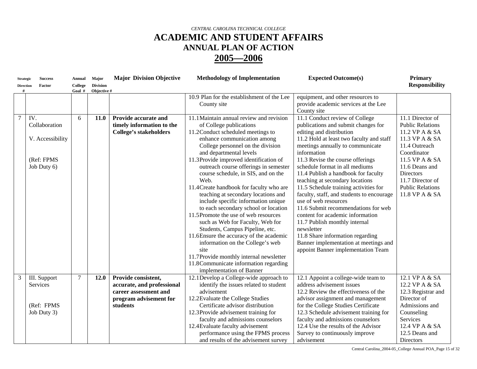| <b>Strategic</b><br><b>Direction</b> | <b>Success</b><br>Factor                                              | <b>Annual</b><br>College | Major<br><b>Division</b> | <b>Major Division Objective</b>                                                                                  | <b>Methodology of Implementation</b>                                                                                                                                                                                                                                                                                                                                                                                                                                                                                                                                                                                                                                                                                                                                                                                                | <b>Expected Outcome(s)</b>                                                                                                                                                                                                                                                                                                                                                                                                                                                                                                                                                                                                                                                                                  | <b>Primary</b><br><b>Responsibility</b>                                                                                                                                                                                                  |
|--------------------------------------|-----------------------------------------------------------------------|--------------------------|--------------------------|------------------------------------------------------------------------------------------------------------------|-------------------------------------------------------------------------------------------------------------------------------------------------------------------------------------------------------------------------------------------------------------------------------------------------------------------------------------------------------------------------------------------------------------------------------------------------------------------------------------------------------------------------------------------------------------------------------------------------------------------------------------------------------------------------------------------------------------------------------------------------------------------------------------------------------------------------------------|-------------------------------------------------------------------------------------------------------------------------------------------------------------------------------------------------------------------------------------------------------------------------------------------------------------------------------------------------------------------------------------------------------------------------------------------------------------------------------------------------------------------------------------------------------------------------------------------------------------------------------------------------------------------------------------------------------------|------------------------------------------------------------------------------------------------------------------------------------------------------------------------------------------------------------------------------------------|
| #                                    |                                                                       | Goal #                   | Objective #              |                                                                                                                  | 10.9 Plan for the establishment of the Lee<br>County site                                                                                                                                                                                                                                                                                                                                                                                                                                                                                                                                                                                                                                                                                                                                                                           | equipment, and other resources to<br>provide academic services at the Lee<br>County site                                                                                                                                                                                                                                                                                                                                                                                                                                                                                                                                                                                                                    |                                                                                                                                                                                                                                          |
|                                      | IV.<br>Collaboration<br>V. Accessibility<br>(Ref: FPMS<br>Job Duty 6) | 6                        | <b>11.0</b>              | Provide accurate and<br>timely information to the<br><b>College's stakeholders</b>                               | 11.1 Maintain annual review and revision<br>of College publications<br>11.2 Conduct scheduled meetings to<br>enhance communication among<br>College personnel on the division<br>and departmental levels<br>11.3Provide improved identification of<br>outreach course offerings in semester<br>course schedule, in SIS, and on the<br>Web.<br>11.4 Create handbook for faculty who are<br>teaching at secondary locations and<br>include specific information unique<br>to each secondary school or location<br>11.5Promote the use of web resources<br>such as Web for Faculty, Web for<br>Students, Campus Pipeline, etc.<br>11.6Ensure the accuracy of the academic<br>information on the College's web<br>site<br>11.7Provide monthly internal newsletter<br>11.8 Communicate information regarding<br>implementation of Banner | 11.1 Conduct review of College<br>publications and submit changes for<br>editing and distribution<br>11.2 Hold at least two faculty and staff<br>meetings annually to communicate<br>information<br>11.3 Revise the course offerings<br>schedule format in all mediums<br>11.4 Publish a handbook for faculty<br>teaching at secondary locations<br>11.5 Schedule training activities for<br>faculty, staff, and students to encourage<br>use of web resources<br>11.6 Submit recommendations for web<br>content for academic information<br>11.7 Publish monthly internal<br>newsletter<br>11.8 Share information regarding<br>Banner implementation at meetings and<br>appoint Banner implementation Team | 11.1 Director of<br><b>Public Relations</b><br>11.2 VP A & SA<br>11.3 VP A & SA<br>11.4 Outreach<br>Coordinator<br>11.5 VP A & SA<br>11.6 Deans and<br><b>Directors</b><br>11.7 Director of<br><b>Public Relations</b><br>11.8 VP A & SA |
| 3                                    | III. Support<br>Services<br>(Ref: FPMS<br>Job Duty 3)                 | $\tau$                   | 12.0                     | Provide consistent,<br>accurate, and professional<br>career assessment and<br>program advisement for<br>students | 12.1 Develop a College-wide approach to<br>identify the issues related to student<br>advisement<br>12.2 Evaluate the College Studies<br>Certificate advisor distribution<br>12.3Provide advisement training for<br>faculty and admissions counselors<br>12.4 Evaluate faculty advisement<br>performance using the FPMS process<br>and results of the advisement survey                                                                                                                                                                                                                                                                                                                                                                                                                                                              | 12.1 Appoint a college-wide team to<br>address advisement issues<br>12.2 Review the effectiveness of the<br>advisor assignment and management<br>for the College Studies Certificate<br>12.3 Schedule advisement training for<br>faculty and admissions counselors<br>12.4 Use the results of the Advisor<br>Survey to continuously improve<br>advisement                                                                                                                                                                                                                                                                                                                                                   | 12.1 VP A & SA<br>12.2 VP A & SA<br>12.3 Registrar and<br>Director of<br>Admissions and<br>Counseling<br>Services<br>12.4 VP A & SA<br>12.5 Deans and<br>Directors                                                                       |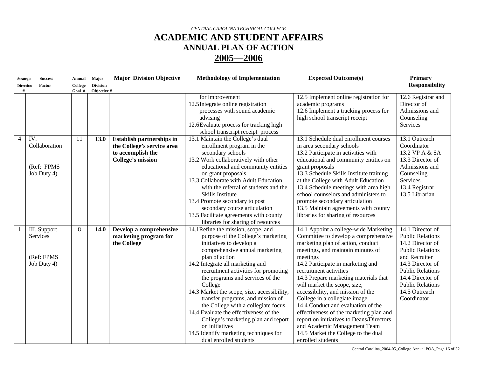| <b>Strategic</b> | <b>Success</b>                                        | Annual            | Major                          | <b>Major Division Objective</b>                                                                                 | <b>Methodology of Implementation</b>                                                                                                                                                                                                                                                                                                                                                                                                                                                                                                                                                  | <b>Expected Outcome(s)</b>                                                                                                                                                                                                                                                                                                                                                                                                                                                                                                                                                                                 | <b>Primary</b>                                                                                                                                                                                                                            |
|------------------|-------------------------------------------------------|-------------------|--------------------------------|-----------------------------------------------------------------------------------------------------------------|---------------------------------------------------------------------------------------------------------------------------------------------------------------------------------------------------------------------------------------------------------------------------------------------------------------------------------------------------------------------------------------------------------------------------------------------------------------------------------------------------------------------------------------------------------------------------------------|------------------------------------------------------------------------------------------------------------------------------------------------------------------------------------------------------------------------------------------------------------------------------------------------------------------------------------------------------------------------------------------------------------------------------------------------------------------------------------------------------------------------------------------------------------------------------------------------------------|-------------------------------------------------------------------------------------------------------------------------------------------------------------------------------------------------------------------------------------------|
| <b>Direction</b> | Factor                                                | College<br>Goal # | <b>Division</b><br>Objective # |                                                                                                                 |                                                                                                                                                                                                                                                                                                                                                                                                                                                                                                                                                                                       |                                                                                                                                                                                                                                                                                                                                                                                                                                                                                                                                                                                                            | <b>Responsibility</b>                                                                                                                                                                                                                     |
|                  |                                                       |                   |                                |                                                                                                                 | for improvement<br>12.5Integrate online registration<br>processes with sound academic<br>advising<br>12.6 Evaluate process for tracking high<br>school transcript receipt process                                                                                                                                                                                                                                                                                                                                                                                                     | 12.5 Implement online registration for<br>academic programs<br>12.6 Implement a tracking process for<br>high school transcript receipt                                                                                                                                                                                                                                                                                                                                                                                                                                                                     | 12.6 Registrar and<br>Director of<br>Admissions and<br>Counseling<br>Services                                                                                                                                                             |
| $\overline{4}$   | IV.<br>Collaboration<br>(Ref: FPMS<br>Job Duty 4)     | 11                | 13.0                           | <b>Establish partnerships in</b><br>the College's service area<br>to accomplish the<br><b>College's mission</b> | 13.1 Maintain the College's dual<br>enrollment program in the<br>secondary schools<br>13.2 Work collaboratively with other<br>educational and community entities<br>on grant proposals<br>13.3 Collaborate with Adult Education<br>with the referral of students and the<br>Skills Institute<br>13.4 Promote secondary to post<br>secondary course articulation<br>13.5 Facilitate agreements with county<br>libraries for sharing of resources                                                                                                                                       | 13.1 Schedule dual enrollment courses<br>in area secondary schools<br>13.2 Participate in activities with<br>educational and community entities on<br>grant proposals<br>13.3 Schedule Skills Institute training<br>at the College with Adult Education<br>13.4 Schedule meetings with area high<br>school counselors and administers to<br>promote secondary articulation<br>13.5 Maintain agreements with county<br>libraries for sharing of resources                                                                                                                                                   | 13.1 Outreach<br>Coordinator<br>13.2 VP A & SA<br>13.3 Director of<br>Admissions and<br>Counseling<br>Services<br>13.4 Registrar<br>13.5 Librarian                                                                                        |
|                  | III. Support<br>Services<br>(Ref: FPMS<br>Job Duty 4) | 8                 | 14.0                           | Develop a comprehensive<br>marketing program for<br>the College                                                 | 14.1Refine the mission, scope, and<br>purpose of the College's marketing<br>initiatives to develop a<br>comprehensive annual marketing<br>plan of action<br>14.2 Integrate all marketing and<br>recruitment activities for promoting<br>the programs and services of the<br>College<br>14.3 Market the scope, size, accessibility,<br>transfer programs, and mission of<br>the College with a collegiate focus<br>14.4 Evaluate the effectiveness of the<br>College's marketing plan and report<br>on initiatives<br>14.5 Identify marketing techniques for<br>dual enrolled students | 14.1 Appoint a college-wide Marketing<br>Committee to develop a comprehensive<br>marketing plan of action, conduct<br>meetings, and maintain minutes of<br>meetings<br>14.2 Participate in marketing and<br>recruitment activities<br>14.3 Prepare marketing materials that<br>will market the scope, size,<br>accessibility, and mission of the<br>College in a collegiate image<br>14.4 Conduct and evaluation of the<br>effectiveness of the marketing plan and<br>report on initiatives to Deans/Directors<br>and Academic Management Team<br>14.5 Market the College to the dual<br>enrolled students | 14.1 Director of<br><b>Public Relations</b><br>14.2 Director of<br><b>Public Relations</b><br>and Recruiter<br>14.3 Director of<br><b>Public Relations</b><br>14.4 Director of<br><b>Public Relations</b><br>14.5 Outreach<br>Coordinator |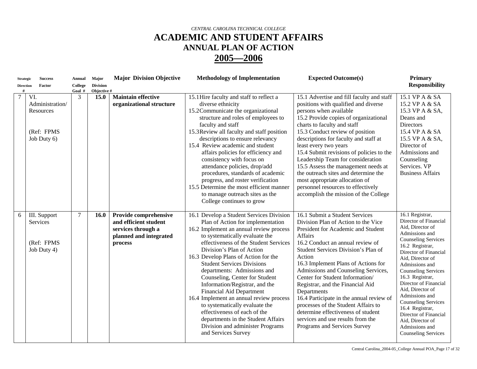| <b>Strategic</b>      | <b>Success</b>                                                   | Annual            | <b>Major</b>                   | <b>Major Division Objective</b>                                                                           | <b>Methodology of Implementation</b>                                                                                                                                                                                                                                                                                                                                                                                                                                                                                                                                                                                                                              | <b>Expected Outcome(s)</b>                                                                                                                                                                                                                                                                                                                                                                                                                                                                                                                                                    | <b>Primary</b>                                                                                                                                                                                                                                                                                                                                                                                                                                               |
|-----------------------|------------------------------------------------------------------|-------------------|--------------------------------|-----------------------------------------------------------------------------------------------------------|-------------------------------------------------------------------------------------------------------------------------------------------------------------------------------------------------------------------------------------------------------------------------------------------------------------------------------------------------------------------------------------------------------------------------------------------------------------------------------------------------------------------------------------------------------------------------------------------------------------------------------------------------------------------|-------------------------------------------------------------------------------------------------------------------------------------------------------------------------------------------------------------------------------------------------------------------------------------------------------------------------------------------------------------------------------------------------------------------------------------------------------------------------------------------------------------------------------------------------------------------------------|--------------------------------------------------------------------------------------------------------------------------------------------------------------------------------------------------------------------------------------------------------------------------------------------------------------------------------------------------------------------------------------------------------------------------------------------------------------|
| <b>Direction</b><br># | Factor                                                           | College<br>Goal # | <b>Division</b><br>Objective # |                                                                                                           |                                                                                                                                                                                                                                                                                                                                                                                                                                                                                                                                                                                                                                                                   |                                                                                                                                                                                                                                                                                                                                                                                                                                                                                                                                                                               | <b>Responsibility</b>                                                                                                                                                                                                                                                                                                                                                                                                                                        |
|                       | VI.<br>Administration/<br>Resources<br>(Ref: FPMS<br>Job Duty 6) | 3                 | 15.0                           | <b>Maintain effective</b><br>organizational structure                                                     | 15.1 Hire faculty and staff to reflect a<br>diverse ethnicity<br>15.2Communicate the organizational<br>structure and roles of employees to<br>faculty and staff<br>15.3 Review all faculty and staff position<br>descriptions to ensure relevancy<br>15.4 Review academic and student<br>affairs policies for efficiency and<br>consistency with focus on<br>attendance policies, drop/add<br>procedures, standards of academic<br>progress, and roster verification<br>15.5 Determine the most efficient manner<br>to manage outreach sites as the<br>College continues to grow                                                                                  | 15.1 Advertise and fill faculty and staff<br>positions with qualified and diverse<br>persons when available<br>15.2 Provide copies of organizational<br>charts to faculty and staff<br>15.3 Conduct review of position<br>descriptions for faculty and staff at<br>least every two years<br>15.4 Submit revisions of policies to the<br>Leadership Team for consideration<br>15.5 Assess the management needs at<br>the outreach sites and determine the<br>most appropriate allocation of<br>personnel resources to effectively<br>accomplish the mission of the College     | 15.1 VP A & SA<br>15.2 VP A & SA<br>15.3 VP A & SA,<br>Deans and<br><b>Directors</b><br>15.4 VP A & SA<br>15.5 VP A & SA,<br>Director of<br>Admissions and<br>Counseling<br>Services. VP<br><b>Business Affairs</b>                                                                                                                                                                                                                                          |
| 6                     | III. Support<br>Services<br>(Ref: FPMS<br>Job Duty 4)            | $\tau$            | 16.0                           | Provide comprehensive<br>and efficient student<br>services through a<br>planned and integrated<br>process | 16.1 Develop a Student Services Division<br>Plan of Action for implementation<br>16.2 Implement an annual review process<br>to systematically evaluate the<br>effectiveness of the Student Services<br>Division's Plan of Action<br>16.3 Develop Plans of Action for the<br><b>Student Services Divisions</b><br>departments: Admissions and<br>Counseling, Center for Student<br>Information/Registrar, and the<br><b>Financial Aid Department</b><br>16.4 Implement an annual review process<br>to systematically evaluate the<br>effectiveness of each of the<br>departments in the Student Affairs<br>Division and administer Programs<br>and Services Survey | 16.1 Submit a Student Services<br>Division Plan of Action to the Vice<br>President for Academic and Student<br>Affairs<br>16.2 Conduct an annual review of<br>Student Services Division's Plan of<br>Action<br>16.3 Implement Plans of Actions for<br>Admissions and Counseling Services,<br>Center for Student Information/<br>Registrar, and the Financial Aid<br>Departments<br>16.4 Participate in the annual review of<br>processes of the Student Affairs to<br>determine effectiveness of student<br>services and use results from the<br>Programs and Services Survey | 16.1 Registrar,<br>Director of Financial<br>Aid, Director of<br>Admissions and<br><b>Counseling Services</b><br>16.2 Registrar,<br>Director of Financial<br>Aid. Director of<br>Admissions and<br><b>Counseling Services</b><br>16.3 Registrar,<br>Director of Financial<br>Aid. Director of<br>Admissions and<br><b>Counseling Services</b><br>16.4 Registrar,<br>Director of Financial<br>Aid, Director of<br>Admissions and<br><b>Counseling Services</b> |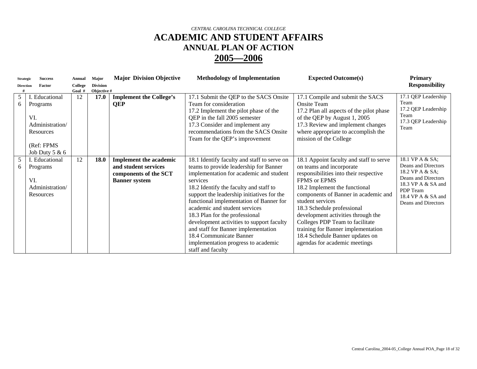| <b>Strategic</b> | <b>Success</b>                                                                                             | Annual            | <b>Major</b>                   | <b>Major Division Objective</b>                                                                        | <b>Methodology of Implementation</b>                                                                                                                                                                                                                                                                                                                                                                                                                                                                                          | <b>Expected Outcome(s)</b>                                                                                                                                                                                                                                                                                                                                                                                                                  | <b>Primary</b>                                                                                                                                                  |
|------------------|------------------------------------------------------------------------------------------------------------|-------------------|--------------------------------|--------------------------------------------------------------------------------------------------------|-------------------------------------------------------------------------------------------------------------------------------------------------------------------------------------------------------------------------------------------------------------------------------------------------------------------------------------------------------------------------------------------------------------------------------------------------------------------------------------------------------------------------------|---------------------------------------------------------------------------------------------------------------------------------------------------------------------------------------------------------------------------------------------------------------------------------------------------------------------------------------------------------------------------------------------------------------------------------------------|-----------------------------------------------------------------------------------------------------------------------------------------------------------------|
| <b>Direction</b> | Factor                                                                                                     | College<br>Goal # | <b>Division</b><br>Objective # |                                                                                                        |                                                                                                                                                                                                                                                                                                                                                                                                                                                                                                                               |                                                                                                                                                                                                                                                                                                                                                                                                                                             | <b>Responsibility</b>                                                                                                                                           |
| 5<br>6           | <b>I.</b> Educational<br>Programs<br>VI.<br>Administration/<br>Resources<br>(Ref: FPMS<br>Job Duty $5 & 6$ | 12                | 17.0                           | <b>Implement the College's</b><br><b>QEP</b>                                                           | 17.1 Submit the QEP to the SACS Onsite<br>Team for consideration<br>17.2 Implement the pilot phase of the<br>QEP in the fall 2005 semester<br>17.3 Consider and implement any<br>recommendations from the SACS Onsite<br>Team for the QEP's improvement                                                                                                                                                                                                                                                                       | 17.1 Compile and submit the SACS<br><b>Onsite Team</b><br>17.2 Plan all aspects of the pilot phase<br>of the QEP by August 1, 2005<br>17.3 Review and implement changes<br>where appropriate to accomplish the<br>mission of the College                                                                                                                                                                                                    | 17.1 QEP Leadership<br>Team<br>17.2 QEP Leadership<br>Team<br>17.3 QEP Leadership<br>Team                                                                       |
| 5<br>6           | I. Educational<br>Programs<br>VI.<br>Administration/<br>Resources                                          | 12                | 18.0                           | <b>Implement the academic</b><br>and student services<br>components of the SCT<br><b>Banner</b> system | 18.1 Identify faculty and staff to serve on<br>teams to provide leadership for Banner<br>implementation for academic and student<br>services<br>18.2 Identify the faculty and staff to<br>support the leadership initiatives for the<br>functional implementation of Banner for<br>academic and student services<br>18.3 Plan for the professional<br>development activities to support faculty<br>and staff for Banner implementation<br>18.4 Communicate Banner<br>implementation progress to academic<br>staff and faculty | 18.1 Appoint faculty and staff to serve<br>on teams and incorporate<br>responsibilities into their respective<br>FPMS or EPMS<br>18.2 Implement the functional<br>components of Banner in academic and<br>student services<br>18.3 Schedule professional<br>development activities through the<br>Colleges PDP Team to facilitate<br>training for Banner implementation<br>18.4 Schedule Banner updates on<br>agendas for academic meetings | 18.1 VP A & SA;<br>Deans and Directors<br>18.2 VP A & SA;<br>Deans and Directors<br>18.3 VP A & SA and<br>PDP Team<br>18.4 VP A & SA and<br>Deans and Directors |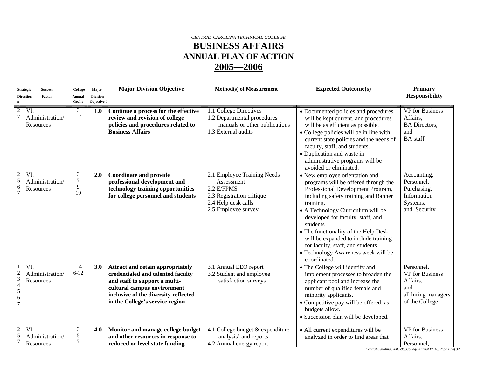#### *CENTRAL CAROLINA TECHNICAL COLLEGE*  **BUSINESS AFFAIRS ANNUAL PLAN OF ACTION 2005—2006**

|                                                                                 | <b>Strategic</b><br><b>Success</b>  | College                | Major                          | <b>Major Division Objective</b>                                                                                                                                                                                  | <b>Method(s)</b> of Measurement                                                                                                    | <b>Expected Outcome(s)</b>                                                                                                                                                                                                                                                                                                                                                                                                          | <b>Primary</b>                                                                                   |
|---------------------------------------------------------------------------------|-------------------------------------|------------------------|--------------------------------|------------------------------------------------------------------------------------------------------------------------------------------------------------------------------------------------------------------|------------------------------------------------------------------------------------------------------------------------------------|-------------------------------------------------------------------------------------------------------------------------------------------------------------------------------------------------------------------------------------------------------------------------------------------------------------------------------------------------------------------------------------------------------------------------------------|--------------------------------------------------------------------------------------------------|
|                                                                                 | Factor<br><b>Direction</b>          | Annual<br>Goal #       | <b>Division</b><br>Objective # |                                                                                                                                                                                                                  |                                                                                                                                    |                                                                                                                                                                                                                                                                                                                                                                                                                                     | <b>Responsibility</b>                                                                            |
| $\overline{c}$                                                                  | VI.<br>Administration/<br>Resources | 3<br>12                | 1.0                            | Continue a process for the effective<br>review and revision of college<br>policies and procedures related to<br><b>Business Affairs</b>                                                                          | 1.1 College Directives<br>1.2 Departmental procedures<br>manuals or other publications<br>1.3 External audits                      | • Documented policies and procedures<br>will be kept current, and procedures<br>will be as efficient as possible.<br>• College policies will be in line with<br>current state policies and the needs of<br>faculty, staff, and students.<br>• Duplication and waste in<br>administrative programs will be<br>avoided or eliminated.                                                                                                 | <b>VP</b> for Business<br>Affairs,<br><b>BA</b> Directors,<br>and<br><b>BA</b> staff             |
| $\overline{\mathbf{c}}$<br>5<br>6                                               | VI.<br>Administration/<br>Resources | 3<br>$\tau$<br>9<br>10 | 2.0                            | <b>Coordinate and provide</b><br>professional development and<br>technology training opportunities<br>for college personnel and students                                                                         | 2.1 Employee Training Needs<br>Assessment<br>2.2 E/FPMS<br>2.3 Registration critique<br>2.4 Help desk calls<br>2.5 Employee survey | • New employee orientation and<br>programs will be offered through the<br>Professional Development Program,<br>including safety training and Banner<br>training.<br>• A Technology Curriculum will be<br>developed for faculty, staff, and<br>students.<br>• The functionality of the Help Desk<br>will be expanded to include training<br>for faculty, staff, and students.<br>• Technology Awareness week will be<br>coordinated. | Accounting,<br>Personnel.<br>Purchasing,<br>Information<br>Systems,<br>and Security              |
| $\overline{\mathbf{c}}$<br>$\overline{3}$<br>$\overline{4}$<br>5<br>6<br>$\tau$ | VI.<br>Administration/<br>Resources | $1 - 4$<br>$6 - 12$    | 3.0                            | Attract and retain appropriately<br>credentialed and talented faculty<br>and staff to support a multi-<br>cultural campus environment<br>inclusive of the diversity reflected<br>in the College's service region | 3.1 Annual EEO report<br>3.2 Student and employee<br>satisfaction surveys                                                          | • The College will identify and<br>implement processes to broaden the<br>applicant pool and increase the<br>number of qualified female and<br>minority applicants.<br>· Competitive pay will be offered, as<br>budgets allow.<br>• Succession plan will be developed.                                                                                                                                                               | Personnel,<br><b>VP</b> for Business<br>Affairs,<br>and<br>all hiring managers<br>of the College |
| $\boldsymbol{2}$<br>5                                                           | VI.<br>Administration/<br>Resources | 3<br>5<br>$\tau$       | 4.0                            | Monitor and manage college budget<br>and other resources in response to<br>reduced or level state funding                                                                                                        | 4.1 College budget & expenditure<br>analysis' and reports<br>4.2 Annual energy report                                              | • All current expenditures will be<br>analyzed in order to find areas that                                                                                                                                                                                                                                                                                                                                                          | <b>VP</b> for Business<br>Affairs,<br>Personnel,                                                 |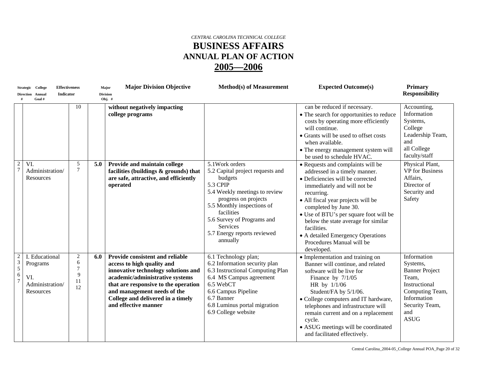#### *CENTRAL CAROLINA TECHNICAL COLLEGE*  **BUSINESS AFFAIRS ANNUAL PLAN OF ACTION 2005—2006**

|                                                                                | <b>Effectiveness</b><br>Strategic College                         |                                           |     | <b>Major Division Objective</b><br>Major                                                                                                                                                                                                                                    | <b>Method(s) of Measurement</b>                                                                                                                                                                                                                                             | <b>Expected Outcome(s)</b>                                                                                                                                                                                                                                                                                                                                                                         | <b>Primary</b>                                                                                                                                       |
|--------------------------------------------------------------------------------|-------------------------------------------------------------------|-------------------------------------------|-----|-----------------------------------------------------------------------------------------------------------------------------------------------------------------------------------------------------------------------------------------------------------------------------|-----------------------------------------------------------------------------------------------------------------------------------------------------------------------------------------------------------------------------------------------------------------------------|----------------------------------------------------------------------------------------------------------------------------------------------------------------------------------------------------------------------------------------------------------------------------------------------------------------------------------------------------------------------------------------------------|------------------------------------------------------------------------------------------------------------------------------------------------------|
|                                                                                | Indicator<br>Direction Annual<br>Goal#                            |                                           |     | <b>Division</b><br>Obj. $#$                                                                                                                                                                                                                                                 |                                                                                                                                                                                                                                                                             |                                                                                                                                                                                                                                                                                                                                                                                                    | <b>Responsibility</b>                                                                                                                                |
|                                                                                |                                                                   | 10                                        |     | without negatively impacting<br>college programs                                                                                                                                                                                                                            |                                                                                                                                                                                                                                                                             | can be reduced if necessary.<br>• The search for opportunities to reduce<br>costs by operating more efficiently<br>will continue.<br>• Grants will be used to offset costs<br>when available.<br>• The energy management system will<br>be used to schedule HVAC.                                                                                                                                  | Accounting,<br>Information<br>Systems,<br>College<br>Leadership Team,<br>and<br>all College<br>faculty/staff                                         |
| $\overline{2}$<br>$\overline{7}$                                               | VI.<br>Administration/<br>Resources                               | 5<br>$\tau$                               | 5.0 | Provide and maintain college<br>facilities (buildings & grounds) that<br>are safe, attractive, and efficiently<br>operated                                                                                                                                                  | 5.1 Work orders<br>5.2 Capital project requests and<br>budgets<br>5.3 CPIP<br>5.4 Weekly meetings to review<br>progress on projects<br>5.5 Monthly inspections of<br>facilities<br>5.6 Survey of Programs and<br><b>Services</b><br>5.7 Energy reports reviewed<br>annually | • Requests and complaints will be<br>addressed in a timely manner.<br>• Deficiencies will be corrected<br>immediately and will not be<br>recurring.<br>· All fiscal year projects will be<br>completed by June 30.<br>• Use of BTU's per square foot will be<br>below the state average for similar<br>facilities.<br>• A detailed Emergency Operations<br>Procedures Manual will be<br>developed. | Physical Plant,<br><b>VP</b> for Business<br>Affairs,<br>Director of<br>Security and<br>Safety                                                       |
| $\overline{c}$<br>$\begin{array}{c} 3 \\ 5 \end{array}$<br>6<br>$\overline{7}$ | I. Educational<br>Programs<br>VI.<br>Administration/<br>Resources | $\overline{c}$<br>6<br>7<br>9<br>11<br>12 | 6.0 | Provide consistent and reliable<br>access to high quality and<br>innovative technology solutions and<br>academic/administrative systems<br>that are responsive to the operation<br>and management needs of the<br>College and delivered in a timely<br>and effective manner | 6.1 Technology plan;<br>6.2 Information security plan<br>6.3 Instructional Computing Plan<br>6.4 MS Campus agreement<br>6.5 WebCT<br>6.6 Campus Pipeline<br>6.7 Banner<br>6.8 Luminus portal migration<br>6.9 College website                                               | • Implementation and training on<br>Banner will continue, and related<br>software will be live for<br>Finance by $7/1/05$<br>HR by 1/1/06<br>Student/FA by 5/1/06.<br>• College computers and IT hardware,<br>telephones and infrastructure will<br>remain current and on a replacement<br>cycle.<br>• ASUG meetings will be coordinated<br>and facilitated effectively.                           | Information<br>Systems,<br><b>Banner Project</b><br>Team,<br>Instructional<br>Computing Team,<br>Information<br>Security Team,<br>and<br><b>ASUG</b> |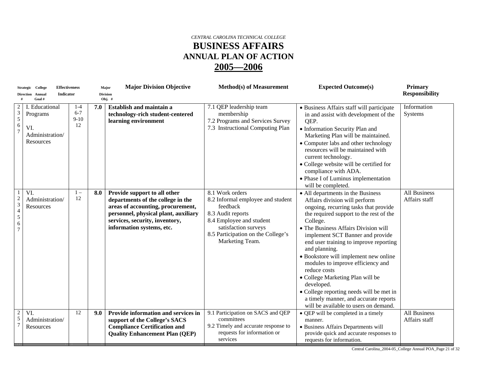#### *CENTRAL CAROLINA TECHNICAL COLLEGE*  **BUSINESS AFFAIRS ANNUAL PLAN OF ACTION 2005—2006**

|                                                                         | <b>Effectiveness</b><br>Strategic College                      |                                    |     | <b>Major Division Objective</b><br>Major                                                                                                                                                                      | <b>Method(s) of Measurement</b>                                                                                                                                                                    | <b>Expected Outcome(s)</b>                                                                                                                                                                                                                                                                                                                                                                                                                                                                                                                                                              | <b>Primary</b>                       |
|-------------------------------------------------------------------------|----------------------------------------------------------------|------------------------------------|-----|---------------------------------------------------------------------------------------------------------------------------------------------------------------------------------------------------------------|----------------------------------------------------------------------------------------------------------------------------------------------------------------------------------------------------|-----------------------------------------------------------------------------------------------------------------------------------------------------------------------------------------------------------------------------------------------------------------------------------------------------------------------------------------------------------------------------------------------------------------------------------------------------------------------------------------------------------------------------------------------------------------------------------------|--------------------------------------|
|                                                                         | <b>Indicator</b><br>Direction Annual<br>Goal#                  |                                    |     | <b>Division</b><br>Obj. $#$                                                                                                                                                                                   |                                                                                                                                                                                                    |                                                                                                                                                                                                                                                                                                                                                                                                                                                                                                                                                                                         | <b>Responsibility</b>                |
| 2<br>3<br>5<br>6<br>$\overline{7}$                                      | Educational<br>Programs<br>VI.<br>Administration/<br>Resources | $1 - 4$<br>$6 - 7$<br>$9-10$<br>12 | 7.0 | <b>Establish and maintain a</b><br>technology-rich student-centered<br>learning environment                                                                                                                   | 7.1 QEP leadership team<br>membership<br>7.2 Programs and Services Survey<br>7.3 Instructional Computing Plan                                                                                      | · Business Affairs staff will participate<br>in and assist with development of the<br>QEP.<br>• Information Security Plan and<br>Marketing Plan will be maintained.<br>• Computer labs and other technology<br>resources will be maintained with<br>current technology.<br>• College website will be certified for<br>compliance with ADA.<br>• Phase I of Luminus implementation<br>will be completed.                                                                                                                                                                                 | Information<br>Systems               |
| $\overline{\mathbf{c}}$<br>3<br>$\overline{\mathcal{A}}$<br>5<br>6<br>7 | VI.<br>Administration/<br>Resources                            | $1 -$<br>12                        | 8.0 | Provide support to all other<br>departments of the college in the<br>areas of accounting, procurement,<br>personnel, physical plant, auxiliary<br>services, security, inventory,<br>information systems, etc. | 8.1 Work orders<br>8.2 Informal employee and student<br>feedback<br>8.3 Audit reports<br>8.4 Employee and student<br>satisfaction surveys<br>8.5 Participation on the College's<br>Marketing Team. | • All departments in the Business<br>Affairs division will perform<br>ongoing, recurring tasks that provide<br>the required support to the rest of the<br>College.<br>• The Business Affairs Division will<br>implement SCT Banner and provide<br>end user training to improve reporting<br>and planning.<br>• Bookstore will implement new online<br>modules to improve efficiency and<br>reduce costs<br>· College Marketing Plan will be<br>developed.<br>• College reporting needs will be met in<br>a timely manner, and accurate reports<br>will be available to users on demand. | <b>All Business</b><br>Affairs staff |
| 2<br>5<br>$\overline{7}$                                                | VI.<br>Administration/<br>Resources                            | 12                                 | 9.0 | Provide information and services in<br>support of the College's SACS<br><b>Compliance Certification and</b><br><b>Quality Enhancement Plan (QEP)</b>                                                          | 9.1 Participation on SACS and QEP<br>committees<br>9.2 Timely and accurate response to<br>requests for information or<br>services                                                                  | • QEP will be completed in a timely<br>manner.<br>· Business Affairs Departments will<br>provide quick and accurate responses to<br>requests for information.                                                                                                                                                                                                                                                                                                                                                                                                                           | <b>All Business</b><br>Affairs staff |

Central Carolina\_2004-05\_College Annual POA\_Page 21 of 32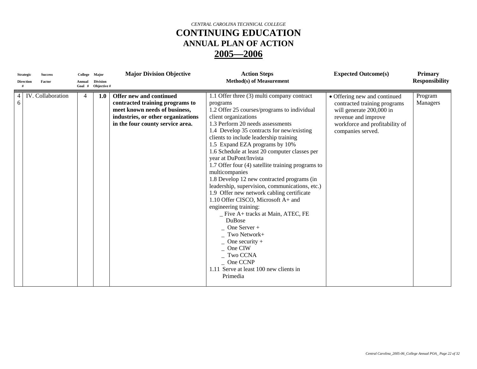| <b>Strategic</b><br><b>Direction</b> | <b>Success</b><br>Factor | College<br>Annual<br>Goal # | Major<br><b>Division</b><br>Objective # | <b>Major Division Objective</b>                                                                                                                                       | <b>Action Steps</b><br><b>Method(s) of Measurement</b>                                                                                                                                                                                                                                                                                                                                                                                                                                                                                                                                                                                                                                                                                                                                                                                                          | <b>Expected Outcome(s)</b>                                                                                                                                             | <b>Primary</b><br><b>Responsibility</b> |
|--------------------------------------|--------------------------|-----------------------------|-----------------------------------------|-----------------------------------------------------------------------------------------------------------------------------------------------------------------------|-----------------------------------------------------------------------------------------------------------------------------------------------------------------------------------------------------------------------------------------------------------------------------------------------------------------------------------------------------------------------------------------------------------------------------------------------------------------------------------------------------------------------------------------------------------------------------------------------------------------------------------------------------------------------------------------------------------------------------------------------------------------------------------------------------------------------------------------------------------------|------------------------------------------------------------------------------------------------------------------------------------------------------------------------|-----------------------------------------|
| $\overline{4}$<br>6                  | IV. Collaboration        | 4                           | 1.0                                     | Offer new and continued<br>contracted training programs to<br>meet known needs of business,<br>industries, or other organizations<br>in the four county service area. | 1.1 Offer three (3) multi company contract<br>programs<br>1.2 Offer 25 courses/programs to individual<br>client organizations<br>1.3 Perform 20 needs assessments<br>1.4 Develop 35 contracts for new/existing<br>clients to include leadership training<br>1.5 Expand EZA programs by 10%<br>1.6 Schedule at least 20 computer classes per<br>year at DuPont/Invista<br>1.7 Offer four (4) satellite training programs to<br>multicompanies<br>1.8 Develop 12 new contracted programs (in<br>leadership, supervision, communications, etc.)<br>1.9 Offer new network cabling certificate<br>1.10 Offer CISCO, Microsoft A+ and<br>engineering training:<br>$\_$ Five A+ tracks at Main, ATEC, FE<br><b>DuBose</b><br>One Server +<br>Two Network+<br>One security $+$<br>One CIW<br>Two CCNA<br>One CCNP<br>1.11 Serve at least 100 new clients in<br>Primedia | • Offering new and continued<br>contracted training programs<br>will generate 200,000 in<br>revenue and improve<br>workforce and profitability of<br>companies served. | Program<br>Managers                     |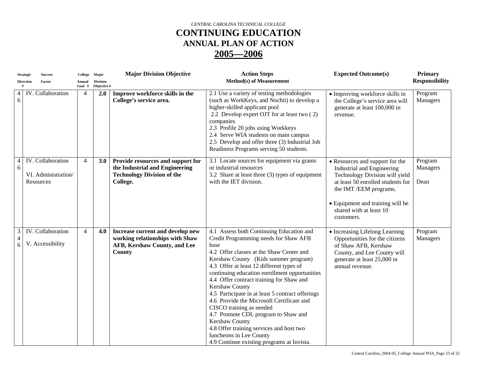|                          | <b>Strategic</b> | <b>Success</b>                                        | College Major    |                                | <b>Major Division Objective</b>                                                                                      | <b>Action Steps</b>                                                                                                                                                                                                                                                                                                                                                                                                                                                                                                                                                                                                                                 | <b>Expected Outcome(s)</b>                                                                                                                                                                                                                  | <b>Primary</b>              |
|--------------------------|------------------|-------------------------------------------------------|------------------|--------------------------------|----------------------------------------------------------------------------------------------------------------------|-----------------------------------------------------------------------------------------------------------------------------------------------------------------------------------------------------------------------------------------------------------------------------------------------------------------------------------------------------------------------------------------------------------------------------------------------------------------------------------------------------------------------------------------------------------------------------------------------------------------------------------------------------|---------------------------------------------------------------------------------------------------------------------------------------------------------------------------------------------------------------------------------------------|-----------------------------|
|                          | <b>Direction</b> | Factor                                                | Annual<br>Goal # | <b>Division</b><br>Objective # |                                                                                                                      | <b>Method(s)</b> of Measurement                                                                                                                                                                                                                                                                                                                                                                                                                                                                                                                                                                                                                     |                                                                                                                                                                                                                                             | <b>Responsibility</b>       |
| 4<br>6                   |                  | IV. Collaboration                                     | $\overline{4}$   | 2.0                            | Improve workforce skills in the<br>College's service area.                                                           | 2.1 Use a variety of testing methodologies<br>(such as WorkKeys, and Nochti) to develop a<br>higher-skilled applicant pool<br>2.2 Develop expert OJT for at least two (2)<br>companies<br>2.3 Profile 20 jobs using Workkeys<br>2.4 Serve WIA students on main campus<br>2.5 Develop and offer three (3) Industrial Job<br>Readiness Programs serving 50 students.                                                                                                                                                                                                                                                                                  | · Improving workforce skills in<br>the College's service area will<br>generate at least 100,000 in<br>revenue.                                                                                                                              | Program<br>Managers         |
| 4<br>6                   |                  | IV. Collaboration<br>VI. Administration/<br>Resources | $\overline{4}$   | 3.0                            | Provide resources and support for<br>the Industrial and Engineering<br><b>Technology Division of the</b><br>College. | 3.1 Locate sources for equipment via grants<br>or industrial resources<br>3.2 Share at least three (3) types of equipment<br>with the IET division.                                                                                                                                                                                                                                                                                                                                                                                                                                                                                                 | • Resources and support for the<br>Industrial and Engineering<br>Technology Division will yield<br>at least 50 enrolled students for<br>the IMT /EEM programs.<br>• Equipment and training will be<br>shared with at least 10<br>customers. | Program<br>Managers<br>Dean |
| 3<br>$\overline{4}$<br>6 |                  | IV. Collaboration<br>V. Accessibility                 | $\overline{4}$   | 4.0                            | Increase current and develop new<br>working relationships with Shaw<br>AFB, Kershaw County, and Lee<br>County        | 4.1 Assess both Continuing Education and<br>Credit Programming needs for Shaw AFB<br>base<br>4.2 Offer classes at the Shaw Center and<br>Kershaw County (Kids summer program)<br>4.3 Offer at least 12 different types of<br>continuing education enrollment opportunities<br>4.4 Offer contract training for Shaw and<br>Kershaw County<br>4.5 Participate in at least 5 contract offerings<br>4.6 Provide the Microsoft Certificate and<br>CISCO training as needed<br>4.7 Promote CDL program to Shaw and<br>Kershaw County<br>4.8 Offer training services and host two<br>luncheons in Lee County<br>4.9 Continue existing programs at Invista. | • Increasing Lifelong Learning<br>Opportunities for the citizens<br>of Shaw AFB, Kershaw<br>County, and Lee County will<br>generate at least 25,000 in<br>annual revenue.                                                                   | Program<br>Managers         |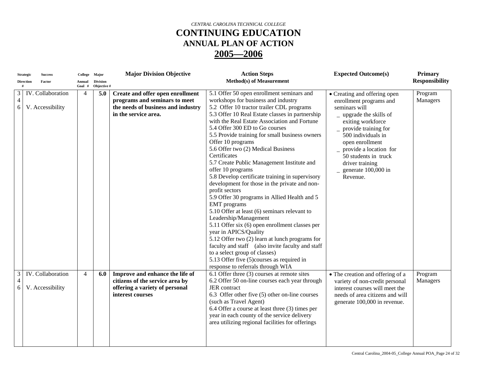|                     | <b>Strategic</b> | <b>Success</b>    | College        | Major           | <b>Major Division Objective</b>    | <b>Action Steps</b>                              | <b>Expected Outcome(s)</b>       | <b>Primary</b> |
|---------------------|------------------|-------------------|----------------|-----------------|------------------------------------|--------------------------------------------------|----------------------------------|----------------|
|                     | <b>Direction</b> | Factor            | Annual         | <b>Division</b> |                                    | <b>Method(s) of Measurement</b>                  |                                  | Responsibility |
|                     |                  |                   | Goal #         | Objective #     |                                    |                                                  |                                  |                |
| 3                   |                  | IV. Collaboration | $\overline{4}$ | 5.0             | Create and offer open enrollment   | 5.1 Offer 50 open enrollment seminars and        | • Creating and offering open     | Program        |
| $\overline{4}$      |                  |                   |                |                 | programs and seminars to meet      | workshops for business and industry              | enrollment programs and          | Managers       |
| 6                   |                  | V. Accessibility  |                |                 | the needs of business and industry | 5.2 Offer 10 tractor trailer CDL programs        | seminars will                    |                |
|                     |                  |                   |                |                 | in the service area.               | 5.3 Offer 10 Real Estate classes in partnership  | $\mu$ upgrade the skills of      |                |
|                     |                  |                   |                |                 |                                    | with the Real Estate Association and Fortune     | exiting workforce                |                |
|                     |                  |                   |                |                 |                                    | 5.4 Offer 300 ED to Go courses                   | $-$ provide training for         |                |
|                     |                  |                   |                |                 |                                    | 5.5 Provide training for small business owners   | 500 individuals in               |                |
|                     |                  |                   |                |                 |                                    | Offer 10 programs                                | open enrollment                  |                |
|                     |                  |                   |                |                 |                                    | 5.6 Offer two (2) Medical Business               | provide a location for           |                |
|                     |                  |                   |                |                 |                                    | Certificates                                     | 50 students in truck             |                |
|                     |                  |                   |                |                 |                                    | 5.7 Create Public Management Institute and       | driver training                  |                |
|                     |                  |                   |                |                 |                                    | offer 10 programs                                | generate 100,000 in              |                |
|                     |                  |                   |                |                 |                                    | 5.8 Develop certificate training in supervisory  | Revenue.                         |                |
|                     |                  |                   |                |                 |                                    | development for those in the private and non-    |                                  |                |
|                     |                  |                   |                |                 |                                    | profit sectors                                   |                                  |                |
|                     |                  |                   |                |                 |                                    | 5.9 Offer 30 programs in Allied Health and 5     |                                  |                |
|                     |                  |                   |                |                 |                                    | <b>EMT</b> programs                              |                                  |                |
|                     |                  |                   |                |                 |                                    | 5.10 Offer at least (6) seminars relevant to     |                                  |                |
|                     |                  |                   |                |                 |                                    | Leadership/Management                            |                                  |                |
|                     |                  |                   |                |                 |                                    | 5.11 Offer six (6) open enrollment classes per   |                                  |                |
|                     |                  |                   |                |                 |                                    | year in APICS/Quality                            |                                  |                |
|                     |                  |                   |                |                 |                                    | 5.12 Offer two (2) learn at lunch programs for   |                                  |                |
|                     |                  |                   |                |                 |                                    | faculty and staff (also invite faculty and staff |                                  |                |
|                     |                  |                   |                |                 |                                    | to a select group of classes)                    |                                  |                |
|                     |                  |                   |                |                 |                                    | 5.13 Offer five (5) courses as required in       |                                  |                |
|                     |                  |                   |                |                 |                                    | response to referrals through WIA                |                                  |                |
|                     |                  | IV. Collaboration |                |                 |                                    | 6.1 Offer three (3) courses at remote sites      |                                  |                |
| 3<br>$\overline{4}$ |                  |                   | $\overline{4}$ | 6.0             | Improve and enhance the life of    |                                                  | • The creation and offering of a | Program        |
|                     |                  |                   |                |                 | citizens of the service area by    | 6.2 Offer 50 on-line courses each year through   | variety of non-credit personal   | Managers       |
| 6                   |                  | V. Accessibility  |                |                 | offering a variety of personal     | <b>JER</b> contract                              | interest courses will meet the   |                |
|                     |                  |                   |                |                 | interest courses                   | 6.3 Offer other five (5) other on-line courses   | needs of area citizens and will  |                |
|                     |                  |                   |                |                 |                                    | (such as Travel Agent)                           | generate 100,000 in revenue.     |                |
|                     |                  |                   |                |                 |                                    | 6.4 Offer a course at least three (3) times per  |                                  |                |
|                     |                  |                   |                |                 |                                    | year in each county of the service delivery      |                                  |                |
|                     |                  |                   |                |                 |                                    | area utilizing regional facilities for offerings |                                  |                |
|                     |                  |                   |                |                 |                                    |                                                  |                                  |                |
|                     |                  |                   |                |                 |                                    |                                                  |                                  |                |
|                     |                  |                   |                |                 |                                    |                                                  |                                  |                |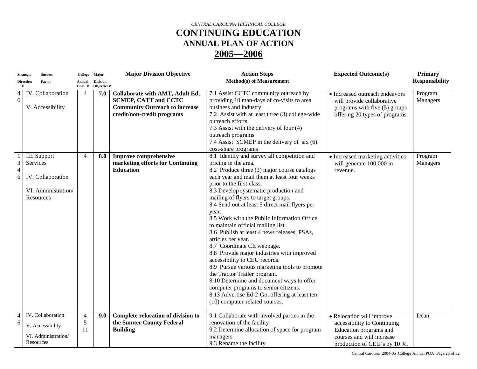|                | <b>Strategic</b> | <b>Success</b>           | College Major  |                 | <b>Major Division Objective</b>       | <b>Action Steps</b>                                  | <b>Expected Outcome(s)</b>       | <b>Primary</b>        |
|----------------|------------------|--------------------------|----------------|-----------------|---------------------------------------|------------------------------------------------------|----------------------------------|-----------------------|
|                | <b>Direction</b> | Factor                   | Annual         | <b>Division</b> |                                       | <b>Method(s)</b> of Measurement                      |                                  | <b>Responsibility</b> |
|                |                  |                          | Goal #         | Objective #     |                                       |                                                      |                                  |                       |
| 4              |                  | IV. Collaboration        | $\overline{4}$ | 7.0             | Collaborate with AMT, Adult Ed,       | 7.1 Assist CCTC community outreach by                | • Increased outreach endeavors   | Program               |
| 6              |                  |                          |                |                 | <b>SCMEP, CATT and CCTC</b>           | providing 10 man-days of co-visits to area           | will provide collaborative       | Managers              |
|                |                  | V. Accessibility         |                |                 | <b>Community Outreach to increase</b> | business and industry                                | programs with five (5) groups    |                       |
|                |                  |                          |                |                 | credit/non-credit programs            | 7.2 Assist with at least three (3) college-wide      | offering 20 types of programs.   |                       |
|                |                  |                          |                |                 |                                       | outreach efforts                                     |                                  |                       |
|                |                  |                          |                |                 |                                       | 7.3 Assist with the delivery of four (4)             |                                  |                       |
|                |                  |                          |                |                 |                                       | outreach programs                                    |                                  |                       |
|                |                  |                          |                |                 |                                       | 7.4 Assist SCMEP in the delivery of six (6)          |                                  |                       |
|                |                  |                          |                |                 |                                       | cost-share programs                                  |                                  |                       |
|                |                  | III. Support             | $\overline{4}$ | 8.0             | <b>Improve comprehensive</b>          | 8.1 Identify and survey all competition and          | • Increased marketing activities | Program               |
| $\mathfrak{Z}$ | Services         |                          |                |                 | marketing efforts for Continuing      | pricing in the area.                                 | will generate 100,000 in         | Managers              |
| $\overline{4}$ |                  |                          |                |                 | <b>Education</b>                      | 8.2 Produce three (3) major course catalogs          | revenue.                         |                       |
| 6              |                  | <b>IV.</b> Collaboration |                |                 |                                       | each year and mail them at least four weeks          |                                  |                       |
|                |                  |                          |                |                 |                                       | prior to the first class.                            |                                  |                       |
|                |                  | VI. Administration/      |                |                 |                                       | 8.3 Develop systematic production and                |                                  |                       |
|                |                  | Resources                |                |                 |                                       | mailing of flyers to target groups.                  |                                  |                       |
|                |                  |                          |                |                 |                                       | 8.4 Send out at least 5 direct mail flyers per       |                                  |                       |
|                |                  |                          |                |                 |                                       | year.<br>8.5 Work with the Public Information Office |                                  |                       |
|                |                  |                          |                |                 |                                       | to maintain official mailing list.                   |                                  |                       |
|                |                  |                          |                |                 |                                       | 8.6 Publish at least 4 news releases, PSAs,          |                                  |                       |
|                |                  |                          |                |                 |                                       | articles per year.                                   |                                  |                       |
|                |                  |                          |                |                 |                                       | 8.7 Coordinate CE webpage.                           |                                  |                       |
|                |                  |                          |                |                 |                                       | 8.8 Provide major industries with improved           |                                  |                       |
|                |                  |                          |                |                 |                                       | accessibility to CEU records.                        |                                  |                       |
|                |                  |                          |                |                 |                                       | 8.9 Pursue various marketing tools to promote        |                                  |                       |
|                |                  |                          |                |                 |                                       | the Tractor Trailer program.                         |                                  |                       |
|                |                  |                          |                |                 |                                       | 8.10 Determine and document ways to offer            |                                  |                       |
|                |                  |                          |                |                 |                                       | computer programs to senior citizens.                |                                  |                       |
|                |                  |                          |                |                 |                                       | 8.13 Advertise Ed-2-Go, offering at least ten        |                                  |                       |
|                |                  |                          |                |                 |                                       | (10) computer-related courses.                       |                                  |                       |
|                |                  |                          |                |                 |                                       |                                                      |                                  |                       |
| 4              |                  | IV. Collaboration        | $\overline{4}$ | 9.0             | Complete relocation of division to    | 9.1 Collaborate with involved parties in the         | • Relocation will improve        | Dean                  |
| 6              |                  | V. Accessibility         | $\sqrt{5}$     |                 | the Sumter County Federal             | renovation of the facility                           | accessibility to Continuing      |                       |
|                |                  |                          | 11             |                 | <b>Building</b>                       | 9.2 Determine allocation of space for program        | Education programs and           |                       |
|                |                  | VI. Administration/      |                |                 |                                       | managers                                             | courses and will increase        |                       |
|                |                  | Resources                |                |                 |                                       | 9.3 Rename the facility                              | production of CEU's by 10 %.     |                       |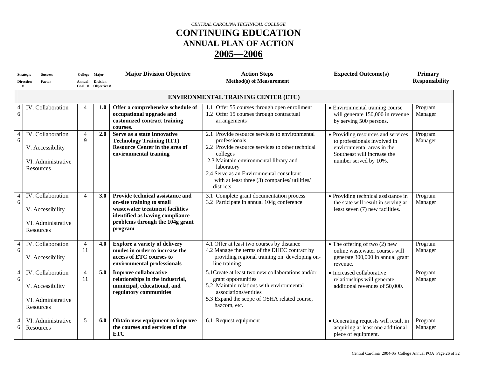|                     | <b>Strategic</b><br><b>Direction</b> | <b>Success</b><br>Factor                                                        | College<br>Annual<br>Goal # | Major<br><b>Division</b><br>Objective # | <b>Major Division Objective</b>                                                                                                                                                   | <b>Action Steps</b><br><b>Method(s) of Measurement</b>                                                                                                                                                                                                                                            | <b>Expected Outcome(s)</b>                                                                                                                               | <b>Primary</b><br><b>Responsibility</b> |
|---------------------|--------------------------------------|---------------------------------------------------------------------------------|-----------------------------|-----------------------------------------|-----------------------------------------------------------------------------------------------------------------------------------------------------------------------------------|---------------------------------------------------------------------------------------------------------------------------------------------------------------------------------------------------------------------------------------------------------------------------------------------------|----------------------------------------------------------------------------------------------------------------------------------------------------------|-----------------------------------------|
|                     |                                      |                                                                                 |                             |                                         |                                                                                                                                                                                   | <b>ENVIRONMENTAL TRAINING CENTER (ETC)</b>                                                                                                                                                                                                                                                        |                                                                                                                                                          |                                         |
| $6\,$               |                                      | IV. Collaboration                                                               | $\overline{4}$              | 1.0                                     | Offer a comprehensive schedule of<br>occupational upgrade and<br>customized contract training<br>courses.                                                                         | 1.1 Offer 55 courses through open enrollment<br>1.2 Offer 15 courses through contractual<br>arrangements                                                                                                                                                                                          | • Environmental training course<br>will generate 150,000 in revenue<br>by serving 500 persons.                                                           | Program<br>Manager                      |
| $\overline{4}$<br>6 |                                      | IV. Collaboration<br>V. Accessibility<br>VI. Administrative<br>Resources        | $\overline{4}$<br>9         | 2.0                                     | Serve as a state Innovative<br><b>Technology Training (ITT)</b><br>Resource Center in the area of<br>environmental training                                                       | 2.1 Provide resource services to environmental<br>professionals<br>2.2 Provide resource services to other technical<br>colleges<br>2.3 Maintain environmental library and<br>laboratory<br>2.4 Serve as an Environmental consultant<br>with at least three (3) companies/ utilities/<br>districts | • Providing resources and services<br>to professionals involved in<br>environmental areas in the<br>Southeast will increase the<br>number served by 10%. | Program<br>Manager                      |
| $\overline{4}$<br>6 |                                      | IV. Collaboration<br>V. Accessibility<br>VI. Administrative<br><b>Resources</b> | $\overline{4}$              | 3.0                                     | Provide technical assistance and<br>on-site training to small<br>wastewater treatment facilities<br>identified as having compliance<br>problems through the 104g grant<br>program | 3.1 Complete grant documentation process<br>3.2 Participate in annual 104g conference                                                                                                                                                                                                             | • Providing technical assistance in<br>the state will result in serving at<br>least seven (7) new facilities.                                            | Program<br>Manager                      |
| $\overline{4}$<br>6 |                                      | IV. Collaboration<br>V. Accessibility                                           | $\overline{4}$<br>11        | 4.0                                     | <b>Explore a variety of delivery</b><br>modes in order to increase the<br>access of ETC courses to<br>environmental professionals                                                 | 4.1 Offer at least two courses by distance<br>4.2 Manage the terms of the DHEC contract by<br>providing regional training on developing on-<br>line training                                                                                                                                      | $\bullet$ The offering of two (2) new<br>online wastewater courses will<br>generate 300,000 in annual grant<br>revenue.                                  | Program<br>Manager                      |
| $\overline{4}$<br>6 |                                      | IV. Collaboration<br>V. Accessibility<br>VI. Administrative<br>Resources        | $\overline{4}$<br>11        | 5.0                                     | <b>Improve collaborative</b><br>relationships in the industrial,<br>municipal, educational, and<br>regulatory communities                                                         | 5.1Create at least two new collaborations and/or<br>grant opportunities<br>5.2 Maintain relations with environmental<br>associations/entities<br>5.3 Expand the scope of OSHA related course,<br>hazcom, etc.                                                                                     | • Increased collaborative<br>relationships will generate<br>additional revenues of 50,000.                                                               | Program<br>Manager                      |
| $\overline{4}$<br>6 |                                      | VI. Administrative<br>Resources                                                 | 5                           | 6.0                                     | Obtain new equipment to improve<br>the courses and services of the<br><b>ETC</b>                                                                                                  | 6.1 Request equipment                                                                                                                                                                                                                                                                             | • Generating requests will result in<br>acquiring at least one additional<br>piece of equipment.                                                         | Program<br>Manager                      |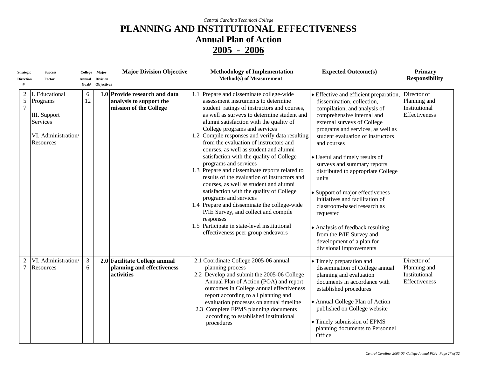| <b>Strategic</b><br><b>Direction</b>  | <b>Success</b><br>Factor                                                                   | Annual<br>Goal#     | College Major<br><b>Division</b><br>Objective# | <b>Major Division Objective</b>                                                    | <b>Methodology of Implementation</b><br><b>Method(s)</b> of Measurement                                                                                                                                                                                                                                                                                                                                                                                                                                                                                                                                                                                                                                                                                                                                                                                                           | <b>Expected Outcome(s)</b>                                                                                                                                                                                                                                                                                                                                                                                                                                                                                                                                                                                            | <b>Primary</b><br><b>Responsibility</b>                       |
|---------------------------------------|--------------------------------------------------------------------------------------------|---------------------|------------------------------------------------|------------------------------------------------------------------------------------|-----------------------------------------------------------------------------------------------------------------------------------------------------------------------------------------------------------------------------------------------------------------------------------------------------------------------------------------------------------------------------------------------------------------------------------------------------------------------------------------------------------------------------------------------------------------------------------------------------------------------------------------------------------------------------------------------------------------------------------------------------------------------------------------------------------------------------------------------------------------------------------|-----------------------------------------------------------------------------------------------------------------------------------------------------------------------------------------------------------------------------------------------------------------------------------------------------------------------------------------------------------------------------------------------------------------------------------------------------------------------------------------------------------------------------------------------------------------------------------------------------------------------|---------------------------------------------------------------|
| $\overline{c}$<br>5<br>$\overline{7}$ | I. Educational<br>Programs<br>III. Support<br>Services<br>VI. Administration/<br>Resources | 6<br>12             |                                                | 1.0 Provide research and data<br>analysis to support the<br>mission of the College | 1.1 Prepare and disseminate college-wide<br>assessment instruments to determine<br>student ratings of instructors and courses,<br>as well as surveys to determine student and<br>alumni satisfaction with the quality of<br>College programs and services<br>1.2 Compile responses and verify data resulting<br>from the evaluation of instructors and<br>courses, as well as student and alumni<br>satisfaction with the quality of College<br>programs and services<br>1.3 Prepare and disseminate reports related to<br>results of the evaluation of instructors and<br>courses, as well as student and alumni<br>satisfaction with the quality of College<br>programs and services<br>1.4 Prepare and disseminate the college-wide<br>P/IE Survey, and collect and compile<br>responses<br>1.5 Participate in state-level institutional<br>effectiveness peer group endeavors | • Effective and efficient preparation,<br>dissemination, collection,<br>compilation, and analysis of<br>comprehensive internal and<br>external surveys of College<br>programs and services, as well as<br>student evaluation of instructors<br>and courses<br>• Useful and timely results of<br>surveys and summary reports<br>distributed to appropriate College<br>units<br>• Support of major effectiveness<br>initiatives and facilitation of<br>classroom-based research as<br>requested<br>• Analysis of feedback resulting<br>from the P/IE Survey and<br>development of a plan for<br>divisional improvements | Director of<br>Planning and<br>Institutional<br>Effectiveness |
| $\overline{2}$<br>$\overline{7}$      | VI. Administration/<br>Resources                                                           | $\mathfrak{Z}$<br>6 |                                                | 2.0 Facilitate College annual<br>planning and effectiveness<br>activities          | 2.1 Coordinate College 2005-06 annual<br>planning process<br>2.2 Develop and submit the 2005-06 College<br>Annual Plan of Action (POA) and report<br>outcomes in College annual effectiveness<br>report according to all planning and<br>evaluation processes on annual timeline<br>2.3 Complete EPMS planning documents<br>according to established institutional<br>procedures                                                                                                                                                                                                                                                                                                                                                                                                                                                                                                  | • Timely preparation and<br>dissemination of College annual<br>planning and evaluation<br>documents in accordance with<br>established procedures<br>• Annual College Plan of Action<br>published on College website<br>· Timely submission of EPMS<br>planning documents to Personnel<br>Office                                                                                                                                                                                                                                                                                                                       | Director of<br>Planning and<br>Institutional<br>Effectiveness |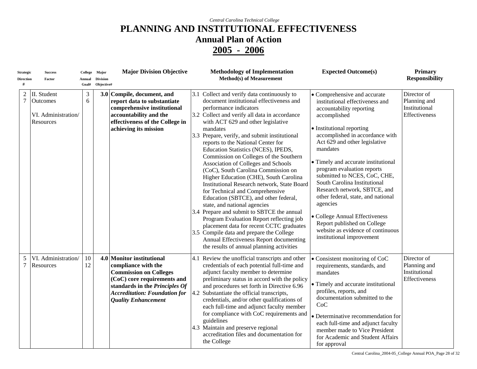| <b>Strategic</b><br><b>Direction</b><br># | <b>Success</b><br>Factor                                    | Annual<br>Goal#     | College Major<br><b>Division</b><br>Objective# | <b>Major Division Objective</b>                                                                                                                                                                                          | <b>Methodology of Implementation</b><br><b>Method(s) of Measurement</b>                                                                                                                                                                                                                                                                                                                                                                                                                                                                                                                                                                                                                                                                                                                                                                                                                                                                                   | <b>Expected Outcome(s)</b>                                                                                                                                                                                                                                                                                                                                                                                                                                                                                                                                                         | <b>Primary</b><br><b>Responsibility</b>                       |
|-------------------------------------------|-------------------------------------------------------------|---------------------|------------------------------------------------|--------------------------------------------------------------------------------------------------------------------------------------------------------------------------------------------------------------------------|-----------------------------------------------------------------------------------------------------------------------------------------------------------------------------------------------------------------------------------------------------------------------------------------------------------------------------------------------------------------------------------------------------------------------------------------------------------------------------------------------------------------------------------------------------------------------------------------------------------------------------------------------------------------------------------------------------------------------------------------------------------------------------------------------------------------------------------------------------------------------------------------------------------------------------------------------------------|------------------------------------------------------------------------------------------------------------------------------------------------------------------------------------------------------------------------------------------------------------------------------------------------------------------------------------------------------------------------------------------------------------------------------------------------------------------------------------------------------------------------------------------------------------------------------------|---------------------------------------------------------------|
| $\overline{c}$<br>$\overline{7}$          | II. Student<br>Outcomes<br>VI. Administration/<br>Resources | $\mathfrak{Z}$<br>6 |                                                | 3.0 Compile, document, and<br>report data to substantiate<br>comprehensive institutional<br>accountability and the<br>effectiveness of the College in<br>achieving its mission                                           | 3.1 Collect and verify data continuously to<br>document institutional effectiveness and<br>performance indicators<br>3.2 Collect and verify all data in accordance<br>with ACT 629 and other legislative<br>mandates<br>3.3 Prepare, verify, and submit institutional<br>reports to the National Center for<br>Education Statistics (NCES), IPEDS,<br>Commission on Colleges of the Southern<br>Association of Colleges and Schools<br>(CoC), South Carolina Commission on<br>Higher Education (CHE), South Carolina<br>Institutional Research network, State Board<br>for Technical and Comprehensive<br>Education (SBTCE), and other federal,<br>state, and national agencies<br>3.4 Prepare and submit to SBTCE the annual<br>Program Evaluation Report reflecting job<br>placement data for recent CCTC graduates<br>3.5 Compile data and prepare the College<br>Annual Effectiveness Report documenting<br>the results of annual planning activities | • Comprehensive and accurate<br>institutional effectiveness and<br>accountability reporting<br>accomplished<br>• Institutional reporting<br>accomplished in accordance with<br>Act 629 and other legislative<br>mandates<br>• Timely and accurate institutional<br>program evaluation reports<br>submitted to NCES, CoC, CHE,<br>South Carolina Institutional<br>Research network, SBTCE, and<br>other federal, state, and national<br>agencies<br>• College Annual Effectiveness<br>Report published on College<br>website as evidence of continuous<br>institutional improvement | Director of<br>Planning and<br>Institutional<br>Effectiveness |
| 5<br>7                                    | VI. Administration/<br>Resources                            | 10<br>12            |                                                | 4.0 Monitor institutional<br>compliance with the<br><b>Commission on Colleges</b><br>(CoC) core requirements and<br>standards in the Principles Of<br><b>Accreditation: Foundation for</b><br><b>Quality Enhancement</b> | 4.1 Review the unofficial transcripts and other<br>credentials of each potential full-time and<br>adjunct faculty member to determine<br>preliminary status in accord with the policy<br>and procedures set forth in Directive 6.96<br>4.2 Substantiate the official transcripts,<br>credentials, and/or other qualifications of<br>each full-time and adjunct faculty member<br>for compliance with CoC requirements and<br>guidelines<br>4.3 Maintain and preserve regional<br>accreditation files and documentation for<br>the College                                                                                                                                                                                                                                                                                                                                                                                                                 | • Consistent monitoring of CoC<br>requirements, standards, and<br>mandates<br>• Timely and accurate institutional<br>profiles, reports, and<br>documentation submitted to the<br>CoC<br>• Determinative recommendation for<br>each full-time and adjunct faculty<br>member made to Vice President<br>for Academic and Student Affairs<br>for approval                                                                                                                                                                                                                              | Director of<br>Planning and<br>Institutional<br>Effectiveness |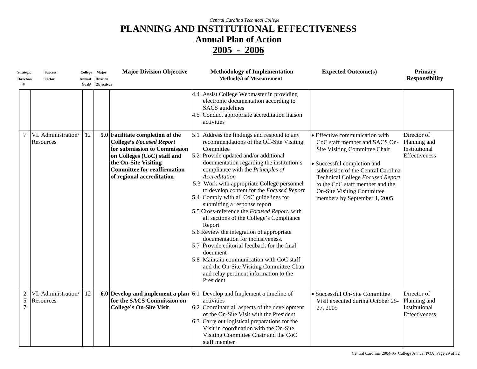| Strategic<br>Direction                | Success<br>Factor                | Annual | College Major<br><b>Division</b><br>Goal# Objective# | <b>Major Division Objective</b>                                                                                                                                                                                               | <b>Methodology of Implementation</b><br><b>Method(s)</b> of Measurement                                                                                                                                                                                                                                                                                                                                                                                                                                                                                                                                                                                                                                                                                                                                                   | <b>Expected Outcome(s)</b>                                                                                                                                                                                                                                                                                        | <b>Primary</b><br><b>Responsibility</b>                       |
|---------------------------------------|----------------------------------|--------|------------------------------------------------------|-------------------------------------------------------------------------------------------------------------------------------------------------------------------------------------------------------------------------------|---------------------------------------------------------------------------------------------------------------------------------------------------------------------------------------------------------------------------------------------------------------------------------------------------------------------------------------------------------------------------------------------------------------------------------------------------------------------------------------------------------------------------------------------------------------------------------------------------------------------------------------------------------------------------------------------------------------------------------------------------------------------------------------------------------------------------|-------------------------------------------------------------------------------------------------------------------------------------------------------------------------------------------------------------------------------------------------------------------------------------------------------------------|---------------------------------------------------------------|
|                                       |                                  |        |                                                      |                                                                                                                                                                                                                               | 4.4 Assist College Webmaster in providing<br>electronic documentation according to<br><b>SACS</b> guidelines<br>4.5 Conduct appropriate accreditation liaison<br>activities                                                                                                                                                                                                                                                                                                                                                                                                                                                                                                                                                                                                                                               |                                                                                                                                                                                                                                                                                                                   |                                                               |
| $\tau$                                | VI. Administration/<br>Resources | 12     |                                                      | 5.0 Facilitate completion of the<br><b>College's Focused Report</b><br>for submission to Commission<br>on Colleges (CoC) staff and<br>the On-Site Visiting<br><b>Committee for reaffirmation</b><br>of regional accreditation | 5.1 Address the findings and respond to any<br>recommendations of the Off-Site Visiting<br>Committee<br>5.2 Provide updated and/or additional<br>documentation regarding the institution's<br>compliance with the Principles of<br>Accreditation<br>5.3 Work with appropriate College personnel<br>to develop content for the Focused Report<br>5.4 Comply with all CoC guidelines for<br>submitting a response report<br>5.5 Cross-reference the Focused Report. with<br>all sections of the College's Compliance<br>Report<br>5.6 Review the integration of appropriate<br>documentation for inclusiveness.<br>5.7 Provide editorial feedback for the final<br>document<br>5.8 Maintain communication with CoC staff<br>and the On-Site Visiting Committee Chair<br>and relay pertinent information to the<br>President | • Effective communication with<br>CoC staff member and SACS On-<br>Site Visiting Committee Chair<br>• Successful completion and<br>submission of the Central Carolina<br>Technical College Focused Report<br>to the CoC staff member and the<br><b>On-Site Visiting Committee</b><br>members by September 1, 2005 | Director of<br>Planning and<br>Institutional<br>Effectiveness |
| $\overline{2}$<br>5<br>$\overline{7}$ | VI. Administration/<br>Resources | 12     |                                                      | for the SACS Commission on<br><b>College's On-Site Visit</b>                                                                                                                                                                  | 6.0 Develop and implement a plan $\vert$ 6.1 Develop and Implement a timeline of<br>activities<br>6.2 Coordinate all aspects of the development<br>of the On-Site Visit with the President<br>6.3 Carry out logistical preparations for the<br>Visit in coordination with the On-Site<br>Visiting Committee Chair and the CoC<br>staff member                                                                                                                                                                                                                                                                                                                                                                                                                                                                             | · Successful On-Site Committee<br>Visit executed during October 25-<br>27, 2005                                                                                                                                                                                                                                   | Director of<br>Planning and<br>Institutional<br>Effectiveness |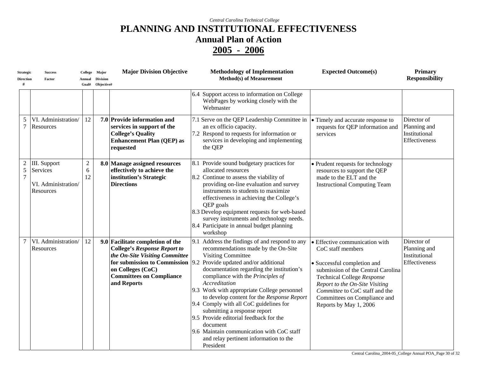| <b>Strategic</b><br><b>Direction</b> | <b>Success</b><br>Factor                                     | Annual<br>Goal#             | College Major<br><b>Division</b><br>Objective# | <b>Major Division Objective</b>                                                                                                                                                                                  | <b>Methodology of Implementation</b><br><b>Method(s)</b> of Measurement                                                                                                                                                                                                                                                                                                                                                                                                                                                                                                                            | <b>Expected Outcome(s)</b>                                                                                                                                                                                                                                                           | <b>Primary</b><br><b>Responsibility</b>                       |
|--------------------------------------|--------------------------------------------------------------|-----------------------------|------------------------------------------------|------------------------------------------------------------------------------------------------------------------------------------------------------------------------------------------------------------------|----------------------------------------------------------------------------------------------------------------------------------------------------------------------------------------------------------------------------------------------------------------------------------------------------------------------------------------------------------------------------------------------------------------------------------------------------------------------------------------------------------------------------------------------------------------------------------------------------|--------------------------------------------------------------------------------------------------------------------------------------------------------------------------------------------------------------------------------------------------------------------------------------|---------------------------------------------------------------|
|                                      |                                                              |                             |                                                |                                                                                                                                                                                                                  | 6.4 Support access to information on College<br>WebPages by working closely with the<br>Webmaster                                                                                                                                                                                                                                                                                                                                                                                                                                                                                                  |                                                                                                                                                                                                                                                                                      |                                                               |
| 5<br>$\overline{7}$                  | VI. Administration/<br>Resources                             | 12                          |                                                | 7.0 Provide information and<br>services in support of the<br><b>College's Quality</b><br><b>Enhancement Plan (QEP) as</b><br>requested                                                                           | 7.1 Serve on the QEP Leadership Committee in $\cdot \cdot$ Timely and accurate response to<br>an ex officio capacity.<br>7.2 Respond to requests for information or<br>services in developing and implementing<br>the QEP                                                                                                                                                                                                                                                                                                                                                                          | requests for QEP information and<br>services                                                                                                                                                                                                                                         | Director of<br>Planning and<br>Institutional<br>Effectiveness |
| 5<br>7                               | III. Support<br>Services<br>VI. Administration/<br>Resources | $\boldsymbol{2}$<br>6<br>12 |                                                | 8.0 Manage assigned resources<br>effectively to achieve the<br>institution's Strategic<br><b>Directions</b>                                                                                                      | 8.1 Provide sound budgetary practices for<br>allocated resources<br>8.2 Continue to assess the viability of<br>providing on-line evaluation and survey<br>instruments to students to maximize<br>effectiveness in achieving the College's<br>QEP goals<br>8.3 Develop equipment requests for web-based<br>survey instruments and technology needs.<br>8.4 Participate in annual budget planning<br>workshop                                                                                                                                                                                        | • Prudent requests for technology<br>resources to support the QEP<br>made to the ELT and the<br><b>Instructional Computing Team</b>                                                                                                                                                  |                                                               |
| $\overline{7}$                       | VI. Administration/<br>Resources                             | 12                          |                                                | 9.0 Facilitate completion of the<br><b>College's Response Report to</b><br>the On-Site Visiting Committee<br>for submission to Commission<br>on Colleges (CoC)<br><b>Committees on Compliance</b><br>and Reports | 9.1 Address the findings of and respond to any<br>recommendations made by the On-Site<br><b>Visiting Committee</b><br>9.2<br>Provide updated and/or additional<br>documentation regarding the institution's<br>compliance with the Principles of<br>Accreditation<br>9.3 Work with appropriate College personnel<br>to develop content for the Response Report<br>9.4 Comply with all CoC guidelines for<br>submitting a response report<br>9.5 Provide editorial feedback for the<br>document<br>9.6 Maintain communication with CoC staff<br>and relay pertinent information to the<br>President | • Effective communication with<br>CoC staff members<br>• Successful completion and<br>submission of the Central Carolina<br>Technical College Response<br>Report to the On-Site Visiting<br>Committee to CoC staff and the<br>Committees on Compliance and<br>Reports by May 1, 2006 | Director of<br>Planning and<br>Institutional<br>Effectiveness |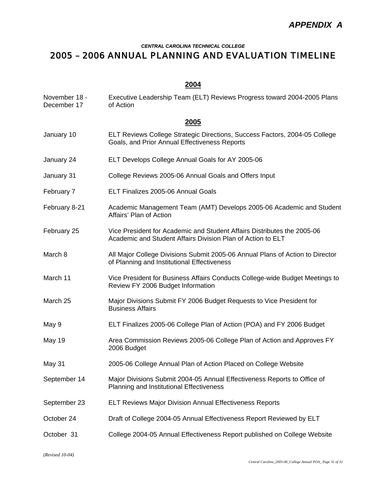#### *CENTRAL CAROLINA TECHNICAL COLLEGE*

## *2005 – 2006 ANNUAL PLANNING AND EVALUATION TIMELINE*

#### **2004**

| November 18 -<br>December 17 | Executive Leadership Team (ELT) Reviews Progress toward 2004-2005 Plans<br>of Action                                                   |  |  |  |  |
|------------------------------|----------------------------------------------------------------------------------------------------------------------------------------|--|--|--|--|
|                              | 2005                                                                                                                                   |  |  |  |  |
| January 10                   | ELT Reviews College Strategic Directions, Success Factors, 2004-05 College<br>Goals, and Prior Annual Effectiveness Reports            |  |  |  |  |
| January 24                   | ELT Develops College Annual Goals for AY 2005-06                                                                                       |  |  |  |  |
| January 31                   | College Reviews 2005-06 Annual Goals and Offers Input                                                                                  |  |  |  |  |
| February 7                   | ELT Finalizes 2005-06 Annual Goals                                                                                                     |  |  |  |  |
| February 8-21                | Academic Management Team (AMT) Develops 2005-06 Academic and Student<br>Affairs' Plan of Action                                        |  |  |  |  |
| February 25                  | Vice President for Academic and Student Affairs Distributes the 2005-06<br>Academic and Student Affairs Division Plan of Action to ELT |  |  |  |  |
| March 8                      | All Major College Divisions Submit 2005-06 Annual Plans of Action to Director<br>of Planning and Institutional Effectiveness           |  |  |  |  |
| March 11                     | Vice President for Business Affairs Conducts College-wide Budget Meetings to<br>Review FY 2006 Budget Information                      |  |  |  |  |
| March 25                     | Major Divisions Submit FY 2006 Budget Requests to Vice President for<br><b>Business Affairs</b>                                        |  |  |  |  |
| May 9                        | ELT Finalizes 2005-06 College Plan of Action (POA) and FY 2006 Budget                                                                  |  |  |  |  |
| <b>May 19</b>                | Area Commission Reviews 2005-06 College Plan of Action and Approves FY<br>2006 Budget                                                  |  |  |  |  |
| May 31                       | 2005-06 College Annual Plan of Action Placed on College Website                                                                        |  |  |  |  |
| September 14                 | Major Divisions Submit 2004-05 Annual Effectiveness Reports to Office of<br><b>Planning and Institutional Effectiveness</b>            |  |  |  |  |
| September 23                 | <b>ELT Reviews Major Division Annual Effectiveness Reports</b>                                                                         |  |  |  |  |
| October 24                   | Draft of College 2004-05 Annual Effectiveness Report Reviewed by ELT                                                                   |  |  |  |  |
| October 31                   | College 2004-05 Annual Effectiveness Report published on College Website                                                               |  |  |  |  |